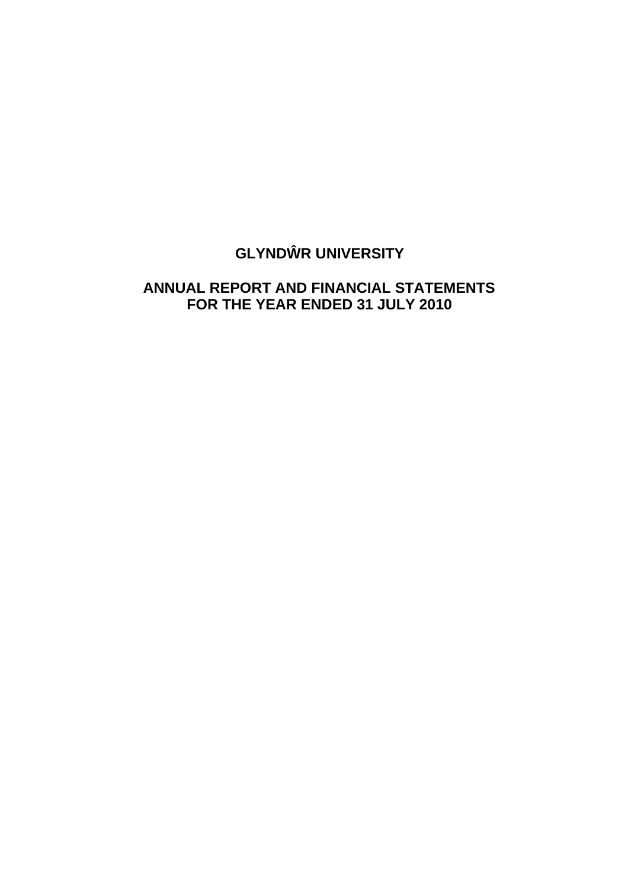# **GLYND R UNIVERSITY**

## **ANNUAL REPORT AND FINANCIAL STATEMENTS FOR THE YEAR ENDED 31 JULY 2010**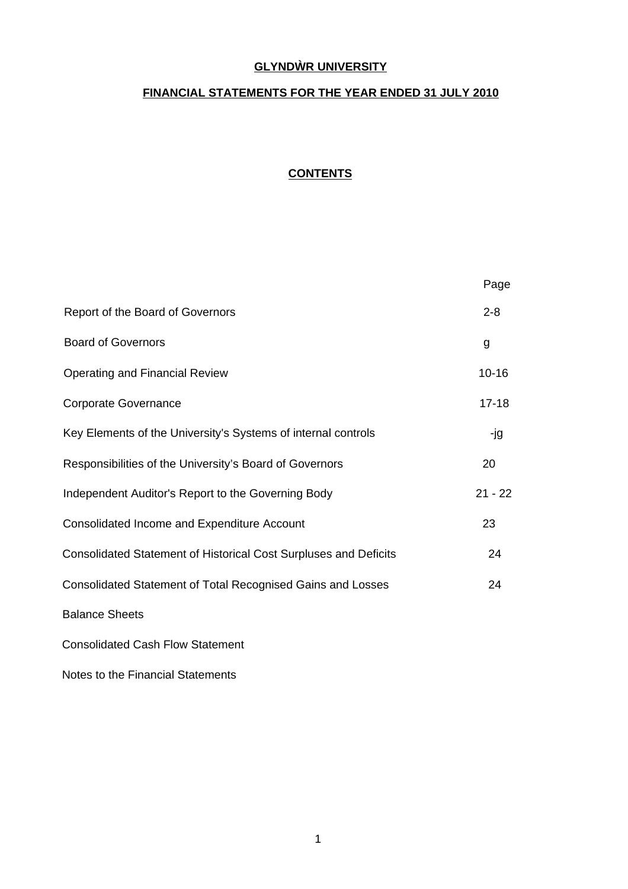## **GLYND R UNIVERSITY**

## **FINANCIAL STATEMENTS FOR THE YEAR ENDED 31 JULY 2010**

## **CONTENTS**

|                                                                  | Page      |
|------------------------------------------------------------------|-----------|
| Report of the Board of Governors                                 | $2 - 8$   |
| <b>Board of Governors</b>                                        | g         |
| <b>Operating and Financial Review</b>                            | $10 - 16$ |
| <b>Corporate Governance</b>                                      | $17 - 18$ |
| Key Elements of the University's Systems of internal controls    | -jg       |
| Responsibilities of the University's Board of Governors          | 20        |
| Independent Auditor's Report to the Governing Body               | $21 - 22$ |
| Consolidated Income and Expenditure Account                      | 23        |
| Consolidated Statement of Historical Cost Surpluses and Deficits | 24        |
| Consolidated Statement of Total Recognised Gains and Losses      | 24        |
| <b>Balance Sheets</b>                                            |           |
| <b>Consolidated Cash Flow Statement</b>                          |           |

Notes to the Financial Statements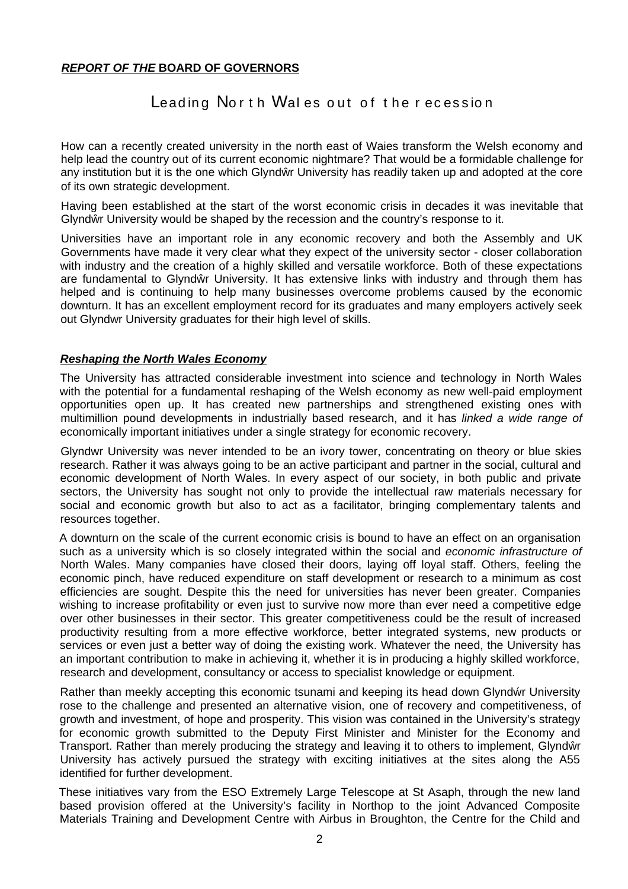## *REPORT OF THE* **BOARD OF GOVERNORS**

## Leading North Wales out of the recession

How can a recently created university in the north east of Waies transform the Welsh economy and help lead the country out of its current economic nightmare? That would be a formidable challenge for any institution but it is the one which Glynd r University has readily taken up and adopted at the core of its own strategic development.

Having been established at the start of the worst economic crisis in decades it was inevitable that Glynd r University would be shaped by the recession and the country's response to it.

Universities have an important role in any economic recovery and both the Assembly and UK Governments have made it very clear what they expect of the university sector - closer collaboration with industry and the creation of a highly skilled and versatile workforce. Both of these expectations are fundamental to Glynd r University. It has extensive links with industry and through them has helped and is continuing to help many businesses overcome problems caused by the economic downturn. It has an excellent employment record for its graduates and many employers actively seek out Glyndwr University graduates for their high level of skills.

## *Reshaping the North Wales Economy*

The University has attracted considerable investment into science and technology in North Wales with the potential for a fundamental reshaping of the Welsh economy as new well-paid employment opportunities open up. It has created new partnerships and strengthened existing ones with multimillion pound developments in industrially based research, and it has *linked a wide range of* economically important initiatives under a single strategy for economic recovery.

Glyndwr University was never intended to be an ivory tower, concentrating on theory or blue skies research. Rather it was always going to be an active participant and partner in the social, cultural and economic development of North Wales. In every aspect of our society, in both public and private sectors, the University has sought not only to provide the intellectual raw materials necessary for social and economic growth but also to act as a facilitator, bringing complementary talents and resources together.

A downturn on the scale of the current economic crisis is bound to have an effect on an organisation such as a university which is so closely integrated within the social and *economic infrastructure of* North Wales. Many companies have closed their doors, laying off loyal staff. Others, feeling the economic pinch, have reduced expenditure on staff development or research to a minimum as cost efficiencies are sought. Despite this the need for universities has never been greater. Companies wishing to increase profitability or even just to survive now more than ever need a competitive edge over other businesses in their sector. This greater competitiveness could be the result of increased productivity resulting from a more effective workforce, better integrated systems, new products or services or even just a better way of doing the existing work. Whatever the need, the University has an important contribution to make in achieving it, whether it is in producing a highly skilled workforce, research and development, consultancy or access to specialist knowledge or equipment.

Rather than meekly accepting this economic tsunami and keeping its head down Glynd r University rose to the challenge and presented an alternative vision, one of recovery and competitiveness, of growth and investment, of hope and prosperity. This vision was contained in the University's strategy for economic growth submitted to the Deputy First Minister and Minister for the Economy and Transport. Rather than merely producing the strategy and leaving it to others to implement, Glynd r University has actively pursued the strategy with exciting initiatives at the sites along the A55 identified for further development.

These initiatives vary from the ESO Extremely Large Telescope at St Asaph, through the new land based provision offered at the University's facility in Northop to the joint Advanced Composite Materials Training and Development Centre with Airbus in Broughton, the Centre for the Child and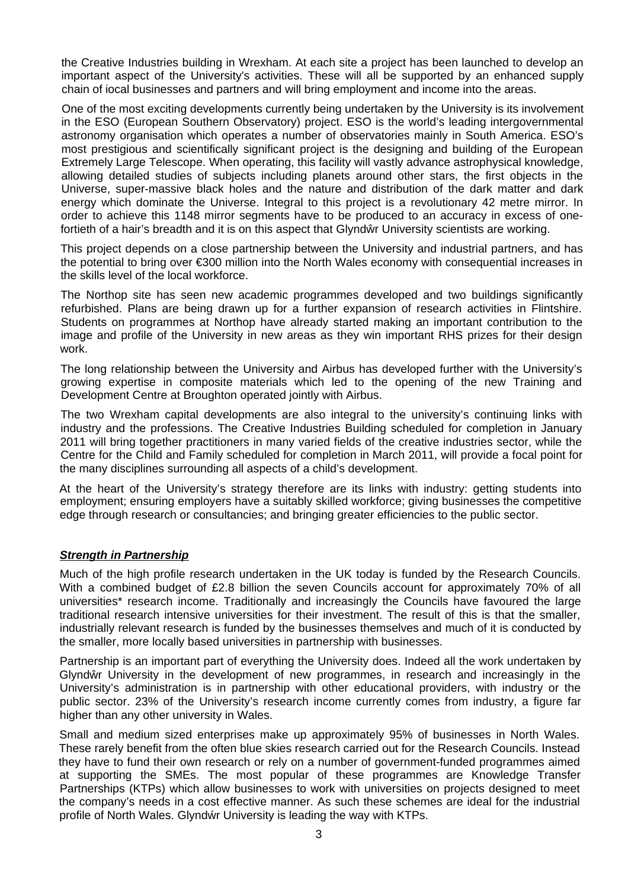the Creative Industries building in Wrexham. At each site a project has been launched to develop an important aspect of the University's activities. These will all be supported by an enhanced supply chain of iocal businesses and partners and will bring employment and income into the areas.

One of the most exciting developments currently being undertaken by the University is its involvement in the ESO (European Southern Observatory) project. ESO is the world's leading intergovernmental astronomy organisation which operates a number of observatories mainly in South America. ESO's most prestigious and scientifically significant project is the designing and building of the European Extremely Large Telescope. When operating, this facility will vastly advance astrophysical knowledge, allowing detailed studies of subjects including planets around other stars, the first objects in the Universe, super-massive black holes and the nature and distribution of the dark matter and dark energy which dominate the Universe. Integral to this project is a revolutionary 42 metre mirror. In order to achieve this 1148 mirror segments have to be produced to an accuracy in excess of onefortieth of a hair's breadth and it is on this aspect that Glynd r University scientists are working.

This project depends on a close partnership between the University and industrial partners, and has the potential to bring over €300 million into the North Wales economy with consequential increases in the skills level of the local workforce.

The Northop site has seen new academic programmes developed and two buildings significantly refurbished. Plans are being drawn up for a further expansion of research activities in Flintshire. Students on programmes at Northop have already started making an important contribution to the image and profile of the University in new areas as they win important RHS prizes for their design work.

The long relationship between the University and Airbus has developed further with the University's growing expertise in composite materials which led to the opening of the new Training and Development Centre at Broughton operated jointly with Airbus.

The two Wrexham capital developments are also integral to the university's continuing links with industry and the professions. The Creative Industries Building scheduled for completion in January 2011 will bring together practitioners in many varied fields of the creative industries sector, while the Centre for the Child and Family scheduled for completion in March 2011, will provide a focal point for the many disciplines surrounding all aspects of a child's development.

At the heart of the University's strategy therefore are its links with industry: getting students into employment; ensuring employers have a suitably skilled workforce; giving businesses the competitive edge through research or consultancies; and bringing greater efficiencies to the public sector.

## *Strength in Partnership*

Much of the high profile research undertaken in the UK today is funded by the Research Councils. With a combined budget of £2.8 billion the seven Councils account for approximately 70% of all universities\* research income. Traditionally and increasingly the Councils have favoured the large traditional research intensive universities for their investment. The result of this is that the smaller, industrially relevant research is funded by the businesses themselves and much of it is conducted by the smaller, more locally based universities in partnership with businesses.

Partnership is an important part of everything the University does. Indeed all the work undertaken by Glynd r University in the development of new programmes, in research and increasingly in the University's administration is in partnership with other educational providers, with industry or the public sector. 23% of the University's research income currently comes from industry, a figure far higher than any other university in Wales.

Small and medium sized enterprises make up approximately 95% of businesses in North Wales. These rarely benefit from the often blue skies research carried out for the Research Councils. Instead they have to fund their own research or rely on a number of government-funded programmes aimed at supporting the SMEs. The most popular of these programmes are Knowledge Transfer Partnerships (KTPs) which allow businesses to work with universities on projects designed to meet the company's needs in a cost effective manner. As such these schemes are ideal for the industrial profile of North Wales. Glynd r University is leading the way with KTPs.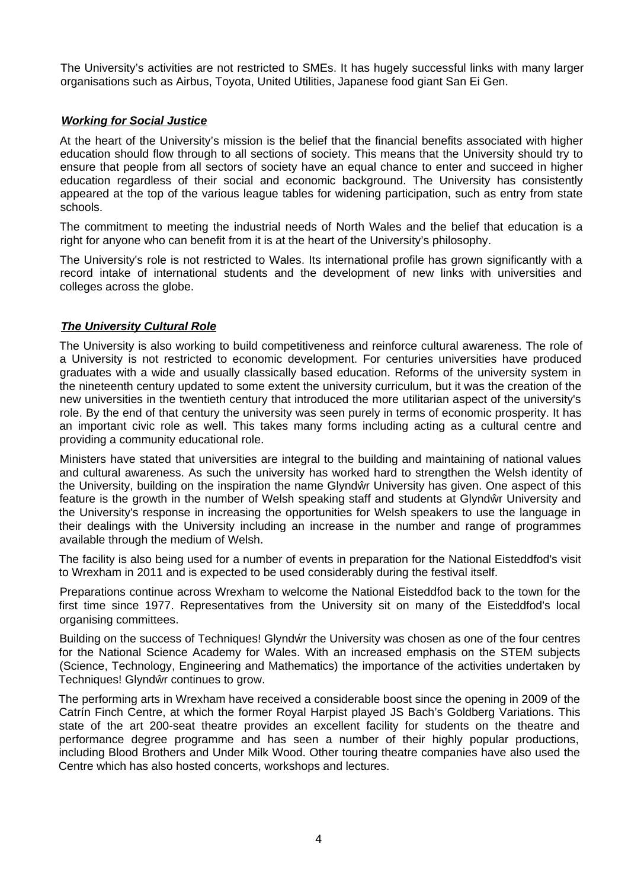The University's activities are not restricted to SMEs. It has hugely successful links with many larger organisations such as Airbus, Toyota, United Utilities, Japanese food giant San Ei Gen.

## *Working for Social Justice*

At the heart of the University's mission is the belief that the financial benefits associated with higher education should flow through to all sections of society. This means that the University should try to ensure that people from all sectors of society have an equal chance to enter and succeed in higher education regardless of their social and economic background. The University has consistently appeared at the top of the various league tables for widening participation, such as entry from state schools.

The commitment to meeting the industrial needs of North Wales and the belief that education is a right for anyone who can benefit from it is at the heart of the University's philosophy.

The University's role is not restricted to Wales. Its international profile has grown significantly with a record intake of international students and the development of new links with universities and colleges across the globe.

## *The University Cultural Role*

The University is also working to build competitiveness and reinforce cultural awareness. The role of a University is not restricted to economic development. For centuries universities have produced graduates with a wide and usually classically based education. Reforms of the university system in the nineteenth century updated to some extent the university curriculum, but it was the creation of the new universities in the twentieth century that introduced the more utilitarian aspect of the university's role. By the end of that century the university was seen purely in terms of economic prosperity. It has an important civic role as well. This takes many forms including acting as a cultural centre and providing a community educational role.

Ministers have stated that universities are integral to the building and maintaining of national values and cultural awareness. As such the university has worked hard to strengthen the Welsh identity of the University, building on the inspiration the name Glynd r University has given. One aspect of this feature is the growth in the number of Welsh speaking staff and students at Glynd r University and the University's response in increasing the opportunities for Welsh speakers to use the language in their dealings with the University including an increase in the number and range of programmes available through the medium of Welsh.

The facility is also being used for a number of events in preparation for the National Eisteddfod's visit to Wrexham in 2011 and is expected to be used considerably during the festival itself.

Preparations continue across Wrexham to welcome the National Eisteddfod back to the town for the first time since 1977. Representatives from the University sit on many of the Eisteddfod's local organising committees.

Building on the success of Techniques! Glynd r the University was chosen as one of the four centres for the National Science Academy for Wales. With an increased emphasis on the STEM subjects (Science, Technology, Engineering and Mathematics) the importance of the activities undertaken by Techniques! Glynd r continues to grow.

The performing arts in Wrexham have received a considerable boost since the opening in 2009 of the Catrín Finch Centre, at which the former Royal Harpist played JS Bach's Goldberg Variations. This state of the art 200-seat theatre provides an excellent facility for students on the theatre and performance degree programme and has seen a number of their highly popular productions, including Blood Brothers and Under Milk Wood. Other touring theatre companies have also used the Centre which has also hosted concerts, workshops and lectures.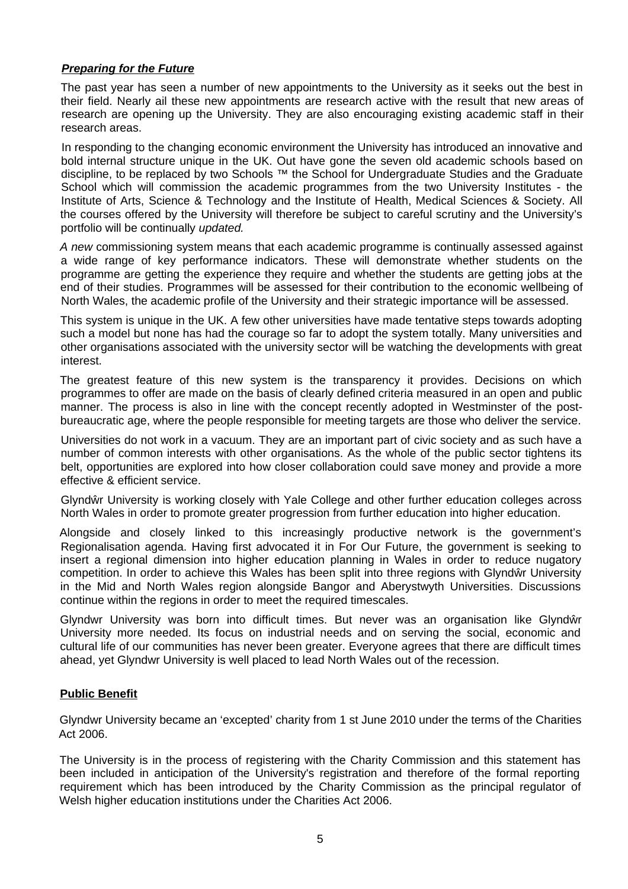## *Preparing for the Future*

The past year has seen a number of new appointments to the University as it seeks out the best in their field. Nearly ail these new appointments are research active with the result that new areas of research are opening up the University. They are also encouraging existing academic staff in their research areas.

In responding to the changing economic environment the University has introduced an innovative and bold internal structure unique in the UK. Out have gone the seven old academic schools based on discipline, to be replaced by two Schools ™ the School for Undergraduate Studies and the Graduate School which will commission the academic programmes from the two University Institutes - the Institute of Arts, Science & Technology and the Institute of Health, Medical Sciences & Society. All the courses offered by the University will therefore be subject to careful scrutiny and the University's portfolio will be continually *updated.*

*A new* commissioning system means that each academic programme is continually assessed against a wide range of key performance indicators. These will demonstrate whether students on the programme are getting the experience they require and whether the students are getting jobs at the end of their studies. Programmes will be assessed for their contribution to the economic wellbeing of North Wales, the academic profile of the University and their strategic importance will be assessed.

This system is unique in the UK. A few other universities have made tentative steps towards adopting such a model but none has had the courage so far to adopt the system totally. Many universities and other organisations associated with the university sector will be watching the developments with great interest.

The greatest feature of this new system is the transparency it provides. Decisions on which programmes to offer are made on the basis of clearly defined criteria measured in an open and public manner. The process is also in line with the concept recently adopted in Westminster of the postbureaucratic age, where the people responsible for meeting targets are those who deliver the service.

Universities do not work in a vacuum. They are an important part of civic society and as such have a number of common interests with other organisations. As the whole of the public sector tightens its belt, opportunities are explored into how closer collaboration could save money and provide a more effective & efficient service.

Glynd r University is working closely with Yale College and other further education colleges across North Wales in order to promote greater progression from further education into higher education.

Alongside and closely linked to this increasingly productive network is the government's Regionalisation agenda. Having first advocated it in For Our Future, the government is seeking to insert a regional dimension into higher education planning in Wales in order to reduce nugatory competition. In order to achieve this Wales has been split into three regions with Glynd r University in the Mid and North Wales region alongside Bangor and Aberystwyth Universities. Discussions continue within the regions in order to meet the required timescales.

Glyndwr University was born into difficult times. But never was an organisation like Glynd r University more needed. Its focus on industrial needs and on serving the social, economic and cultural life of our communities has never been greater. Everyone agrees that there are difficult times ahead, yet Glyndwr University is well placed to lead North Wales out of the recession.

## **Public Benefit**

Glyndwr University became an 'excepted' charity from 1 st June 2010 under the terms of the Charities Act 2006.

The University is in the process of registering with the Charity Commission and this statement has been included in anticipation of the University's registration and therefore of the formal reporting requirement which has been introduced by the Charity Commission as the principal regulator of Welsh higher education institutions under the Charities Act 2006.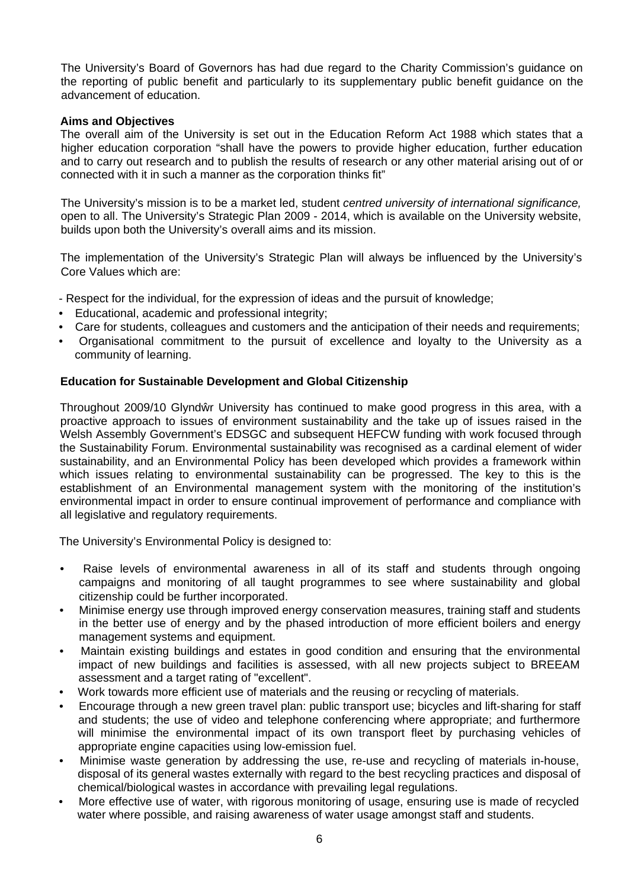The University's Board of Governors has had due regard to the Charity Commission's guidance on the reporting of public benefit and particularly to its supplementary public benefit guidance on the advancement of education.

## **Aims and Objectives**

The overall aim of the University is set out in the Education Reform Act 1988 which states that a higher education corporation "shall have the powers to provide higher education, further education and to carry out research and to publish the results of research or any other material arising out of or connected with it in such a manner as the corporation thinks fit"

The University's mission is to be a market led, student *centred university of international significance,* open to all. The University's Strategic Plan 2009 - 2014, which is available on the University website, builds upon both the University's overall aims and its mission.

The implementation of the University's Strategic Plan will always be influenced by the University's Core Values which are:

- Respect for the individual, for the expression of ideas and the pursuit of knowledge;

- Educational, academic and professional integrity;
- Care for students, colleagues and customers and the anticipation of their needs and requirements;
- Organisational commitment to the pursuit of excellence and loyalty to the University as a community of learning.

## **Education for Sustainable Development and Global Citizenship**

Throughout 2009/10 Glynd r University has continued to make good progress in this area, with a proactive approach to issues of environment sustainability and the take up of issues raised in the Welsh Assembly Government's EDSGC and subsequent HEFCW funding with work focused through the Sustainability Forum. Environmental sustainability was recognised as a cardinal element of wider sustainability, and an Environmental Policy has been developed which provides a framework within which issues relating to environmental sustainability can be progressed. The key to this is the establishment of an Environmental management system with the monitoring of the institution's environmental impact in order to ensure continual improvement of performance and compliance with all legislative and regulatory requirements.

The University's Environmental Policy is designed to:

- Raise levels of environmental awareness in all of its staff and students through ongoing campaigns and monitoring of all taught programmes to see where sustainability and global citizenship could be further incorporated.
- Minimise energy use through improved energy conservation measures, training staff and students in the better use of energy and by the phased introduction of more efficient boilers and energy management systems and equipment.
- Maintain existing buildings and estates in good condition and ensuring that the environmental impact of new buildings and facilities is assessed, with all new projects subject to BREEAM assessment and a target rating of "excellent".
- Work towards more efficient use of materials and the reusing or recycling of materials.
- Encourage through a new green travel plan: public transport use; bicycles and lift-sharing for staff and students; the use of video and telephone conferencing where appropriate; and furthermore will minimise the environmental impact of its own transport fleet by purchasing vehicles of appropriate engine capacities using low-emission fuel.
- Minimise waste generation by addressing the use, re-use and recycling of materials in-house, disposal of its general wastes externally with regard to the best recycling practices and disposal of chemical/biological wastes in accordance with prevailing legal regulations.
- More effective use of water, with rigorous monitoring of usage, ensuring use is made of recycled water where possible, and raising awareness of water usage amongst staff and students.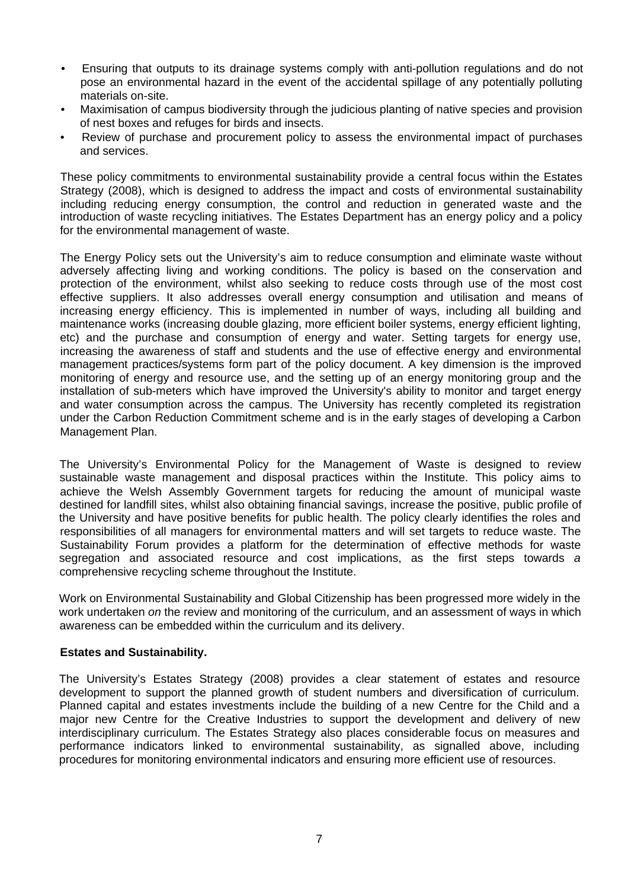- Ensuring that outputs to its drainage systems comply with anti-pollution regulations and do not pose an environmental hazard in the event of the accidental spillage of any potentially polluting materials on-site.
- Maximisation of campus biodiversity through the judicious planting of native species and provision of nest boxes and refuges for birds and insects.
- Review of purchase and procurement policy to assess the environmental impact of purchases and services.

These policy commitments to environmental sustainability provide a central focus within the Estates Strategy (2008), which is designed to address the impact and costs of environmental sustainability including reducing energy consumption, the control and reduction in generated waste and the introduction of waste recycling initiatives. The Estates Department has an energy policy and a policy for the environmental management of waste.

The Energy Policy sets out the University's aim to reduce consumption and eliminate waste without adversely affecting living and working conditions. The policy is based on the conservation and protection of the environment, whilst also seeking to reduce costs through use of the most cost effective suppliers. It also addresses overall energy consumption and utilisation and means of increasing energy efficiency. This is implemented in number of ways, including all building and maintenance works (increasing double glazing, more efficient boiler systems, energy efficient lighting, etc) and the purchase and consumption of energy and water. Setting targets for energy use, increasing the awareness of staff and students and the use of effective energy and environmental management practices/systems form part of the policy document. A key dimension is the improved monitoring of energy and resource use, and the setting up of an energy monitoring group and the installation of sub-meters which have improved the University's ability to monitor and target energy and water consumption across the campus. The University has recently completed its registration under the Carbon Reduction Commitment scheme and is in the early stages of developing a Carbon Management Plan.

The University's Environmental Policy for the Management of Waste is designed to review sustainable waste management and disposal practices within the Institute. This policy aims to achieve the Welsh Assembly Government targets for reducing the amount of municipal waste destined for landfill sites, whilst also obtaining financial savings, increase the positive, public profile of the University and have positive benefits for public health. The policy clearly identifies the roles and responsibilities of all managers for environmental matters and will set targets to reduce waste. The Sustainability Forum provides a platform for the determination of effective methods for waste segregation and associated resource and cost implications, as the first steps towards *a* comprehensive recycling scheme throughout the Institute.

Work on Environmental Sustainability and Global Citizenship has been progressed more widely in the work undertaken *on* the review and monitoring of the curriculum, and an assessment of ways in which awareness can be embedded within the curriculum and its delivery.

## **Estates and Sustainability.**

The University's Estates Strategy (2008) provides a clear statement of estates and resource development to support the planned growth of student numbers and diversification of curriculum. Planned capital and estates investments include the building of a new Centre for the Child and a major new Centre for the Creative Industries to support the development and delivery of new interdisciplinary curriculum. The Estates Strategy also places considerable focus on measures and performance indicators linked to environmental sustainability, as signalled above, including procedures for monitoring environmental indicators and ensuring more efficient use of resources.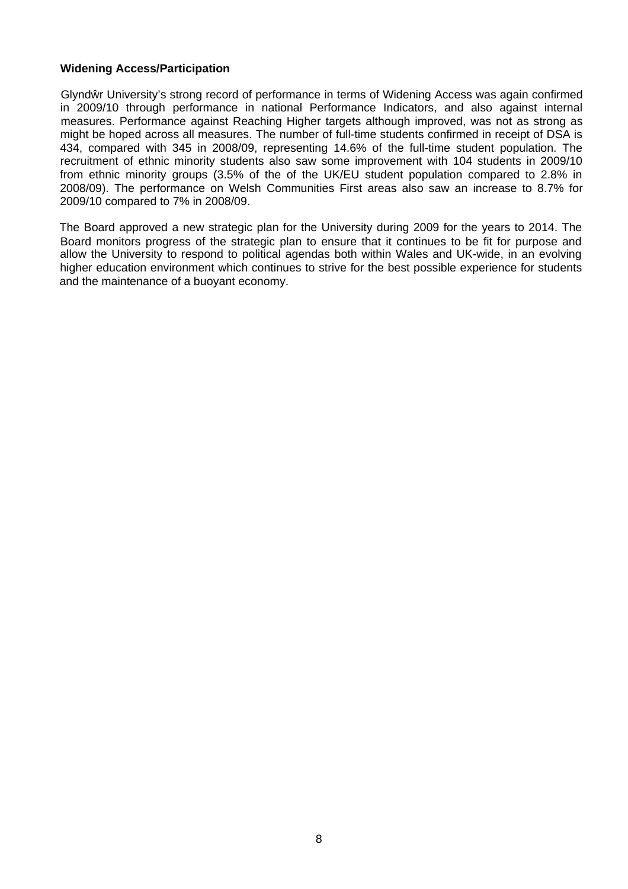## **Widening Access/Participation**

Glynd r University's strong record of performance in terms of Widening Access was again confirmed in 2009/10 through performance in national Performance Indicators, and also against internal measures. Performance against Reaching Higher targets although improved, was not as strong as might be hoped across all measures. The number of full-time students confirmed in receipt of DSA is 434, compared with 345 in 2008/09, representing 14.6% of the full-time student population. The recruitment of ethnic minority students also saw some improvement with 104 students in 2009/10 from ethnic minority groups (3.5% of the of the UK/EU student population compared to 2.8% in 2008/09). The performance on Welsh Communities First areas also saw an increase to 8.7% for 2009/10 compared to 7% in 2008/09.

The Board approved a new strategic plan for the University during 2009 for the years to 2014. The Board monitors progress of the strategic plan to ensure that it continues to be fit for purpose and allow the University to respond to political agendas both within Wales and UK-wide, in an evolving higher education environment which continues to strive for the best possible experience for students and the maintenance of a buoyant economy.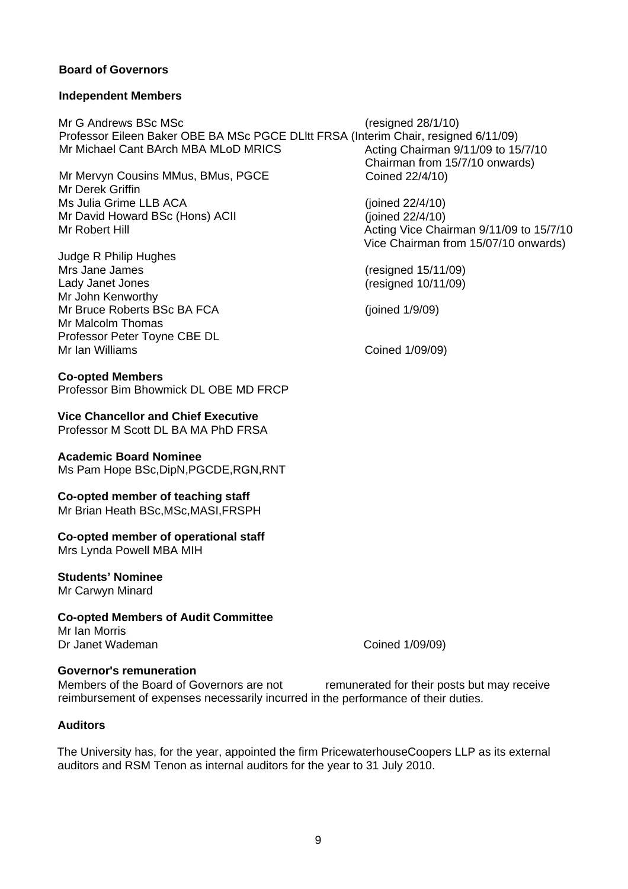## **Board of Governors**

## **Independent Members**

Mr G Andrews BSc MSc (resigned 28/1/10) Professor Eileen Baker OBE BA MSc PGCE DLltt FRSA (Interim Chair, resigned 6/11/09) Mr Michael Cant BArch MBA MLoD MRICS

Mr Mervyn Cousins MMus, BMus, PGCE Mr Derek Griffin Ms Julia Grime LLB ACA Mr David Howard BSc (Hons) ACII Mr Robert Hill

Judge R Philip Hughes Mrs Jane James Lady Janet Jones Mr John Kenworthy Mr Bruce Roberts BSc BA FCA Mr Malcolm Thomas Professor Peter Toyne CBE DL Mr Ian Williams

## **Co-opted Members**

Professor Bim Bhowmick DL OBE MD FRCP

## **Vice Chancellor and Chief Executive**

Professor M Scott DL BA MA PhD FRSA

## **Academic Board Nominee**

Ms Pam Hope BSc,DipN,PGCDE,RGN,RNT

## **Co-opted member of teaching staff**

Mr Brian Heath BSc,MSc,MASI,FRSPH

## **Co-opted member of operational staff**

Mrs Lynda Powell MBA MIH

## **Students' Nominee**

Mr Carwyn Minard

**Co-opted Members of Audit Committee** Mr Ian Morris Dr Janet Wademan

Coined 1/09/09)

## **Governor's remuneration**

Members of the Board of Governors are not reimbursement of expenses necessarily incurred in the performance of their duties. remunerated for their posts but may receive

## **Auditors**

The University has, for the year, appointed the firm PricewaterhouseCoopers LLP as its external auditors and RSM Tenon as internal auditors for the year to 31 July 2010.

Acting Chairman 9/11/09 to 15/7/10 Chairman from 15/7/10 onwards) Coined 22/4/10)

(joined 22/4/10) (joined 22/4/10) Acting Vice Chairman 9/11/09 to 15/7/10 Vice Chairman from 15/07/10 onwards)

(resigned 15/11/09) (resigned 10/11/09)

(joined 1/9/09)

Coined 1/09/09)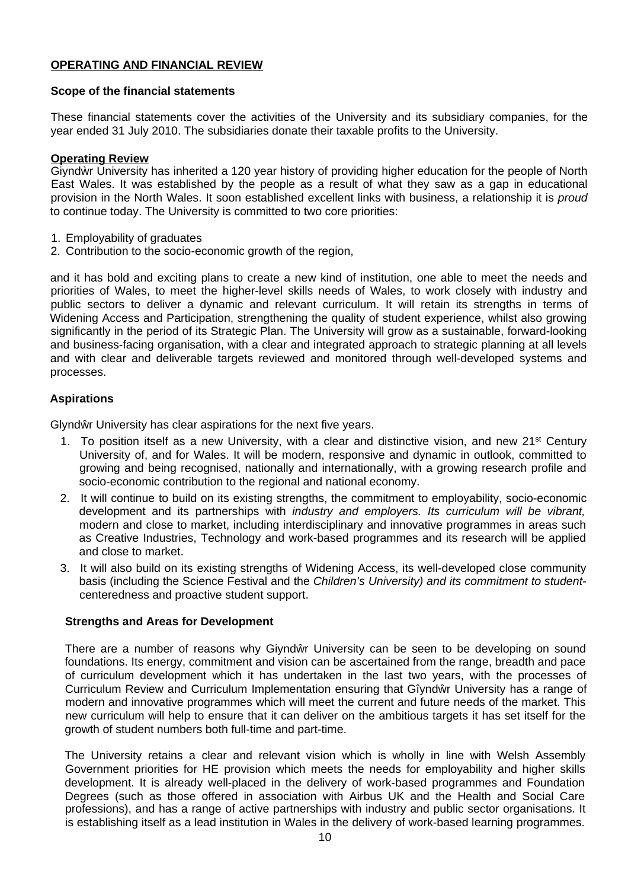## **OPERATING AND FINANCIAL REVIEW**

## **Scope of the financial statements**

These financial statements cover the activities of the University and its subsidiary companies, for the year ended 31 July 2010. The subsidiaries donate their taxable profits to the University.

## **Operating Review**

Giynd r University has inherited a 120 year history of providing higher education for the people of North East Wales. It was established by the people as a result of what they saw as a gap in educational provision in the North Wales. It soon established excellent links with business, a relationship it is *proud* to continue today. The University is committed to two core priorities:

- 1. Employability of graduates
- 2. Contribution to the socio-economic growth of the region,

and it has bold and exciting plans to create a new kind of institution, one able to meet the needs and priorities of Wales, to meet the higher-level skills needs of Wales, to work closely with industry and public sectors to deliver a dynamic and relevant curriculum. It will retain its strengths in terms of Widening Access and Participation, strengthening the quality of student experience, whilst also growing significantly in the period of its Strategic Plan. The University will grow as a sustainable, forward-looking and business-facing organisation, with a clear and integrated approach to strategic planning at all levels and with clear and deliverable targets reviewed and monitored through well-developed systems and processes.

## **Aspirations**

Glynd r University has clear aspirations for the next five years.

- 1. To position itself as a new University, with a clear and distinctive vision, and new 21<sup>st</sup> Century University of, and for Wales. It will be modern, responsive and dynamic in outlook, committed to growing and being recognised, nationally and internationally, with a growing research profile and socio-economic contribution to the regional and national economy.
- 2. It will continue to build on its existing strengths, the commitment to employability, socio-economic development and its partnerships with *industry and employers. Its curriculum will be vibrant,* modern and close to market, including interdisciplinary and innovative programmes in areas such as Creative Industries, Technology and work-based programmes and its research will be applied and close to market.
- 3. It will also build on its existing strengths of Widening Access, its well-developed close community basis (including the Science Festival and the *Children's University) and its commitment to student*centeredness and proactive student support.

## **Strengths and Areas for Development**

There are a number of reasons why Giynd r University can be seen to be developing on sound foundations. Its energy, commitment and vision can be ascertained from the range, breadth and pace of curriculum development which it has undertaken in the last two years, with the processes of Curriculum Review and Curriculum Implementation ensuring that Gîynd r University has a range of modern and innovative programmes which will meet the current and future needs of the market. This new curriculum will help to ensure that it can deliver on the ambitious targets it has set itself for the growth of student numbers both full-time and part-time.

The University retains a clear and relevant vision which is wholly in line with Welsh Assembly Government priorities for HE provision which meets the needs for employability and higher skills development. It is already well-placed in the delivery of work-based programmes and Foundation Degrees (such as those offered in association with Airbus UK and the Health and Social Care professions), and has a range of active partnerships with industry and public sector organisations. It is establishing itself as a lead institution in Wales in the delivery of work-based learning programmes.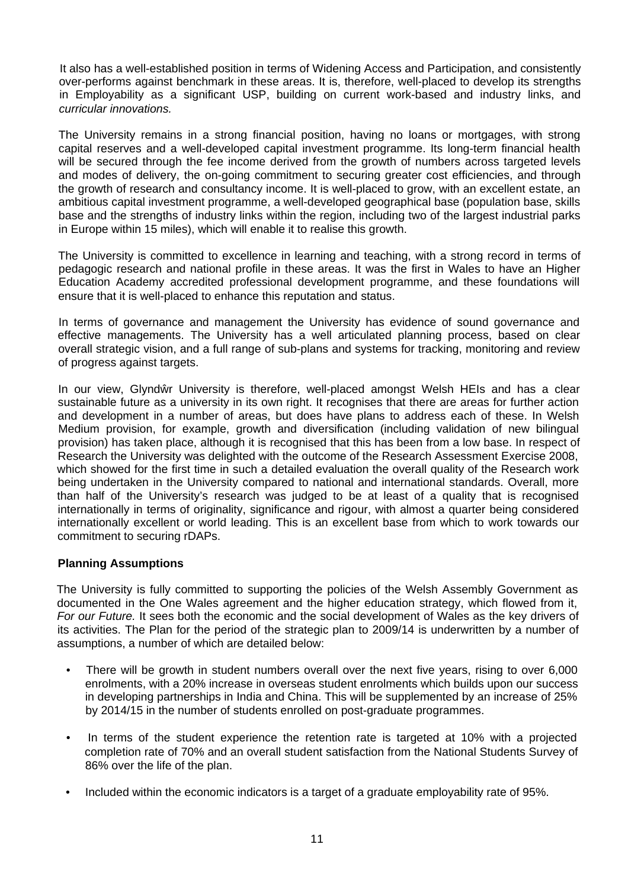It also has a well-established position in terms of Widening Access and Participation, and consistently over-performs against benchmark in these areas. It is, therefore, well-placed to develop its strengths in Employability as a significant USP, building on current work-based and industry links, and *curricular innovations.*

The University remains in a strong financial position, having no loans or mortgages, with strong capital reserves and a well-developed capital investment programme. Its long-term financial health will be secured through the fee income derived from the growth of numbers across targeted levels and modes of delivery, the on-going commitment to securing greater cost efficiencies, and through the growth of research and consultancy income. It is well-placed to grow, with an excellent estate, an ambitious capital investment programme, a well-developed geographical base (population base, skills base and the strengths of industry links within the region, including two of the largest industrial parks in Europe within 15 miles), which will enable it to realise this growth.

The University is committed to excellence in learning and teaching, with a strong record in terms of pedagogic research and national profile in these areas. It was the first in Wales to have an Higher Education Academy accredited professional development programme, and these foundations will ensure that it is well-placed to enhance this reputation and status.

In terms of governance and management the University has evidence of sound governance and effective managements. The University has a well articulated planning process, based on clear overall strategic vision, and a full range of sub-plans and systems for tracking, monitoring and review of progress against targets.

In our view, Glynd r University is therefore, well-placed amongst Welsh HEIs and has a clear sustainable future as a university in its own right. It recognises that there are areas for further action and development in a number of areas, but does have plans to address each of these. In Welsh Medium provision, for example, growth and diversification (including validation of new bilingual provision) has taken place, although it is recognised that this has been from a low base. In respect of Research the University was delighted with the outcome of the Research Assessment Exercise 2008, which showed for the first time in such a detailed evaluation the overall quality of the Research work being undertaken in the University compared to national and international standards. Overall, more than half of the University's research was judged to be at least of a quality that is recognised internationally in terms of originality, significance and rigour, with almost a quarter being considered internationally excellent or world leading. This is an excellent base from which to work towards our commitment to securing rDAPs.

## **Planning Assumptions**

The University is fully committed to supporting the policies of the Welsh Assembly Government as documented in the One Wales agreement and the higher education strategy, which flowed from it, *For our Future.* It sees both the economic and the social development of Wales as the key drivers of its activities. The Plan for the period of the strategic plan to 2009/14 is underwritten by a number of assumptions, a number of which are detailed below:

- There will be growth in student numbers overall over the next five years, rising to over 6,000 enrolments, with a 20% increase in overseas student enrolments which builds upon our success in developing partnerships in India and China. This will be supplemented by an increase of 25% by 2014/15 in the number of students enrolled on post-graduate programmes.
- In terms of the student experience the retention rate is targeted at 10% with a projected completion rate of 70% and an overall student satisfaction from the National Students Survey of 86% over the life of the plan.
- Included within the economic indicators is a target of a graduate employability rate of 95%.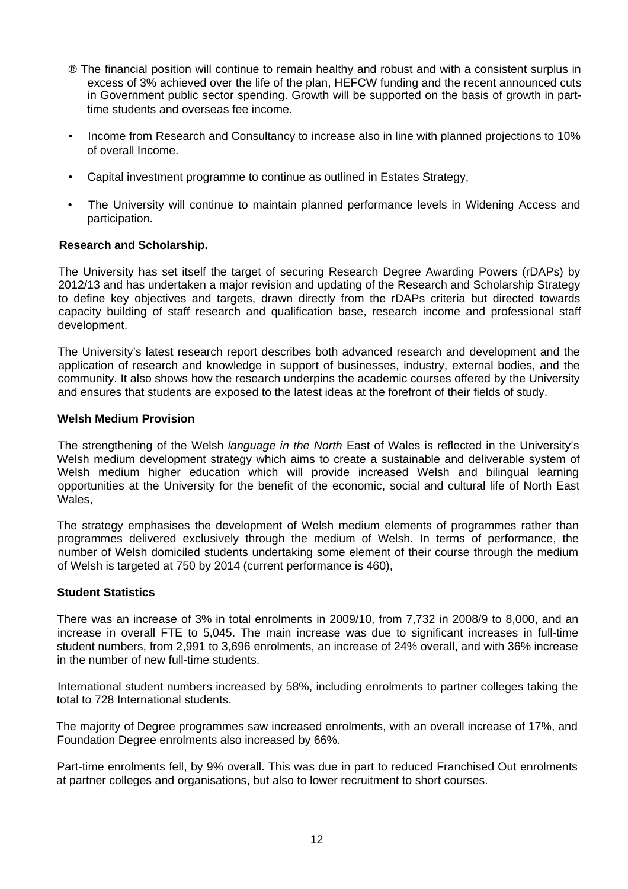- ® The financial position will continue to remain healthy and robust and with a consistent surplus in excess of 3% achieved over the life of the plan, HEFCW funding and the recent announced cuts in Government public sector spending. Growth will be supported on the basis of growth in parttime students and overseas fee income.
- Income from Research and Consultancy to increase also in line with planned projections to 10% of overall Income.
- Capital investment programme to continue as outlined in Estates Strategy,
- The University will continue to maintain planned performance levels in Widening Access and participation.

## **Research and Scholarship.**

The University has set itself the target of securing Research Degree Awarding Powers (rDAPs) by 2012/13 and has undertaken a major revision and updating of the Research and Scholarship Strategy to define key objectives and targets, drawn directly from the rDAPs criteria but directed towards capacity building of staff research and qualification base, research income and professional staff development.

The University's latest research report describes both advanced research and development and the application of research and knowledge in support of businesses, industry, external bodies, and the community. It also shows how the research underpins the academic courses offered by the University and ensures that students are exposed to the latest ideas at the forefront of their fields of study.

## **Welsh Medium Provision**

The strengthening of the Welsh *language in the North* East of Wales is reflected in the University's Welsh medium development strategy which aims to create a sustainable and deliverable system of Welsh medium higher education which will provide increased Welsh and bilingual learning opportunities at the University for the benefit of the economic, social and cultural life of North East Wales,

The strategy emphasises the development of Welsh medium elements of programmes rather than programmes delivered exclusively through the medium of Welsh. In terms of performance, the number of Welsh domiciled students undertaking some element of their course through the medium of Welsh is targeted at 750 by 2014 (current performance is 460),

## **Student Statistics**

There was an increase of 3% in total enrolments in 2009/10, from 7,732 in 2008/9 to 8,000, and an increase in overall FTE to 5,045. The main increase was due to significant increases in full-time student numbers, from 2,991 to 3,696 enrolments, an increase of 24% overall, and with 36% increase in the number of new full-time students.

International student numbers increased by 58%, including enrolments to partner colleges taking the total to 728 International students.

The majority of Degree programmes saw increased enrolments, with an overall increase of 17%, and Foundation Degree enrolments also increased by 66%.

Part-time enrolments fell, by 9% overall. This was due in part to reduced Franchised Out enrolments at partner colleges and organisations, but also to lower recruitment to short courses.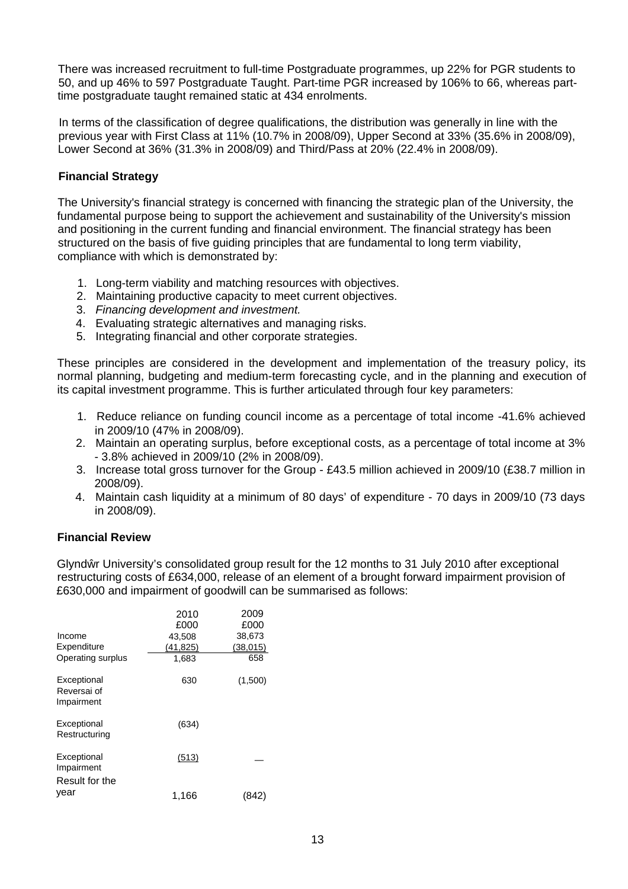There was increased recruitment to full-time Postgraduate programmes, up 22% for PGR students to 50, and up 46% to 597 Postgraduate Taught. Part-time PGR increased by 106% to 66, whereas parttime postgraduate taught remained static at 434 enrolments.

In terms of the classification of degree qualifications, the distribution was generally in line with the previous year with First Class at 11% (10.7% in 2008/09), Upper Second at 33% (35.6% in 2008/09), Lower Second at 36% (31.3% in 2008/09) and Third/Pass at 20% (22.4% in 2008/09).

## **Financial Strategy**

The University's financial strategy is concerned with financing the strategic plan of the University, the fundamental purpose being to support the achievement and sustainability of the University's mission and positioning in the current funding and financial environment. The financial strategy has been structured on the basis of five guiding principles that are fundamental to long term viability, compliance with which is demonstrated by:

- 1. Long-term viability and matching resources with objectives.
- 2. Maintaining productive capacity to meet current objectives.
- 3. *Financing development and investment.*
- 4. Evaluating strategic alternatives and managing risks.
- 5. Integrating financial and other corporate strategies.

These principles are considered in the development and implementation of the treasury policy, its normal planning, budgeting and medium-term forecasting cycle, and in the planning and execution of its capital investment programme. This is further articulated through four key parameters:

- 1. Reduce reliance on funding council income as a percentage of total income -41.6% achieved in 2009/10 (47% in 2008/09).
- 2. Maintain an operating surplus, before exceptional costs, as a percentage of total income at 3% - 3.8% achieved in 2009/10 (2% in 2008/09).
- 3. Increase total gross turnover for the Group £43.5 million achieved in 2009/10 (£38.7 million in 2008/09).
- 4. Maintain cash liquidity at a minimum of 80 days' of expenditure 70 days in 2009/10 (73 days in 2008/09).

## **Financial Review**

Glynd r University's consolidated group result for the 12 months to 31 July 2010 after exceptional restructuring costs of £634,000, release of an element of a brought forward impairment provision of £630,000 and impairment of goodwill can be summarised as follows:

|                                             | 2010<br>£000 | 2009<br>£000 |
|---------------------------------------------|--------------|--------------|
| Income                                      | 43,508       | 38,673       |
| Expenditure                                 | (41, 825)    | (38,015)     |
| Operating surplus                           | 1,683        | 658          |
| Exceptional<br>Reversai of<br>Impairment    | 630          | (1,500)      |
| Exceptional<br>Restructuring                | (634)        |              |
| Exceptional<br>Impairment<br>Result for the | (513)        |              |
| vear                                        | 1,166        |              |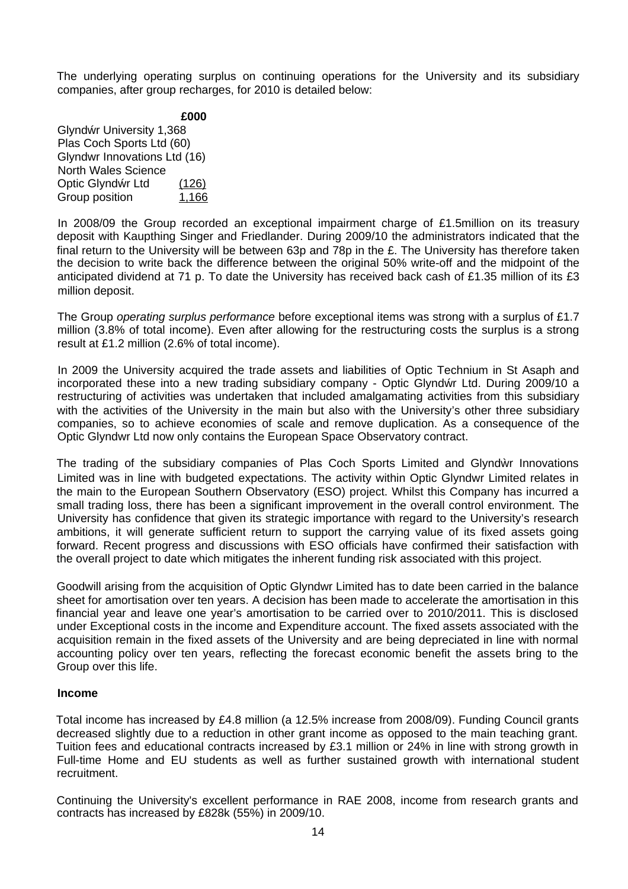The underlying operating surplus on continuing operations for the University and its subsidiary companies, after group recharges, for 2010 is detailed below:

### **£000**

Glynd r University 1,368 Plas Coch Sports Ltd (60) Glyndwr Innovations Ltd (16) North Wales Science Optic Glynd r Ltd (126) Group position 1,166

In 2008/09 the Group recorded an exceptional impairment charge of £1.5million on its treasury deposit with Kaupthing Singer and Friedlander. During 2009/10 the administrators indicated that the final return to the University will be between 63p and 78p in the £. The University has therefore taken the decision to write back the difference between the original 50% write-off and the midpoint of the anticipated dividend at 71 p. To date the University has received back cash of £1.35 million of its £3 million deposit.

The Group *operating surplus performance* before exceptional items was strong with a surplus of £1.7 million (3.8% of total income). Even after allowing for the restructuring costs the surplus is a strong result at £1.2 million (2.6% of total income).

In 2009 the University acquired the trade assets and liabilities of Optic Technium in St Asaph and incorporated these into a new trading subsidiary company - Optic Glynd r Ltd. During 2009/10 a restructuring of activities was undertaken that included amalgamating activities from this subsidiary with the activities of the University in the main but also with the University's other three subsidiary companies, so to achieve economies of scale and remove duplication. As a consequence of the Optic Glyndwr Ltd now only contains the European Space Observatory contract.

The trading of the subsidiary companies of Plas Coch Sports Limited and Glynd r Innovations Limited was in line with budgeted expectations. The activity within Optic Glyndwr Limited relates in the main to the European Southern Observatory (ESO) project. Whilst this Company has incurred a small trading loss, there has been a significant improvement in the overall control environment. The University has confidence that given its strategic importance with regard to the University's research ambitions, it will generate sufficient return to support the carrying value of its fixed assets going forward. Recent progress and discussions with ESO officials have confirmed their satisfaction with the overall project to date which mitigates the inherent funding risk associated with this project.

Goodwill arising from the acquisition of Optic Glyndwr Limited has to date been carried in the balance sheet for amortisation over ten years. A decision has been made to accelerate the amortisation in this financial year and leave one year's amortisation to be carried over to 2010/2011. This is disclosed under Exceptional costs in the income and Expenditure account. The fixed assets associated with the acquisition remain in the fixed assets of the University and are being depreciated in line with normal accounting policy over ten years, reflecting the forecast economic benefit the assets bring to the Group over this life.

## **Income**

Total income has increased by £4.8 million (a 12.5% increase from 2008/09). Funding Council grants decreased slightly due to a reduction in other grant income as opposed to the main teaching grant. Tuition fees and educational contracts increased by £3.1 million or 24% in line with strong growth in Full-time Home and EU students as well as further sustained growth with international student recruitment.

Continuing the University's excellent performance in RAE 2008, income from research grants and contracts has increased by £828k (55%) in 2009/10.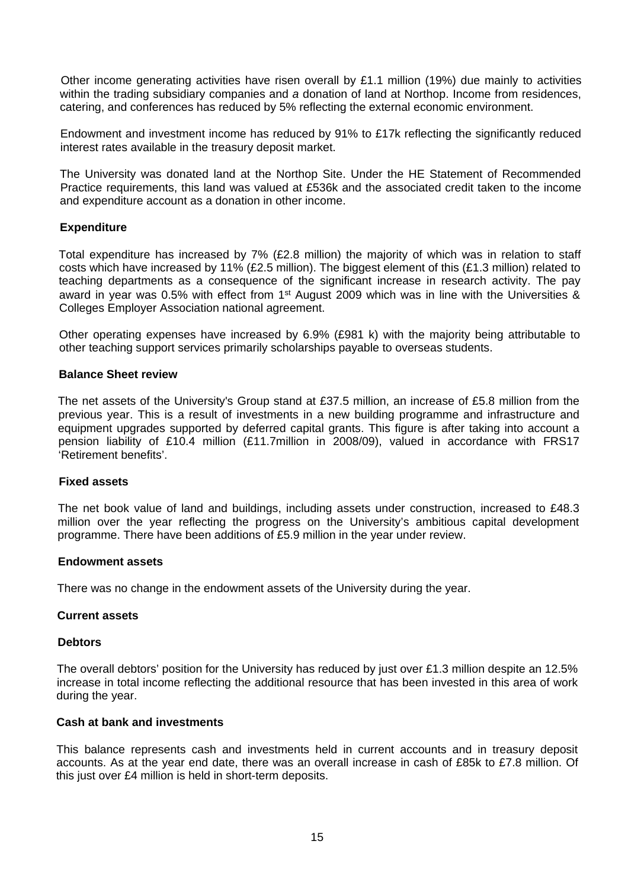Other income generating activities have risen overall by £1.1 million (19%) due mainly to activities within the trading subsidiary companies and *a* donation of land at Northop. Income from residences, catering, and conferences has reduced by 5% reflecting the external economic environment.

Endowment and investment income has reduced by 91% to £17k reflecting the significantly reduced interest rates available in the treasury deposit market.

The University was donated land at the Northop Site. Under the HE Statement of Recommended Practice requirements, this land was valued at £536k and the associated credit taken to the income and expenditure account as a donation in other income.

## **Expenditure**

Total expenditure has increased by 7% (£2.8 million) the majority of which was in relation to staff costs which have increased by 11% (£2.5 million). The biggest element of this (£1.3 million) related to teaching departments as a consequence of the significant increase in research activity. The pay award in year was 0.5% with effect from 1<sup>st</sup> August 2009 which was in line with the Universities & Colleges Employer Association national agreement.

Other operating expenses have increased by 6.9% (£981 k) with the majority being attributable to other teaching support services primarily scholarships payable to overseas students.

## **Balance Sheet review**

The net assets of the University's Group stand at £37.5 million, an increase of £5.8 million from the previous year. This is a result of investments in a new building programme and infrastructure and equipment upgrades supported by deferred capital grants. This figure is after taking into account a pension liability of £10.4 million (£11.7million in 2008/09), valued in accordance with FRS17 'Retirement benefits'.

## **Fixed assets**

The net book value of land and buildings, including assets under construction, increased to £48.3 million over the year reflecting the progress on the University's ambitious capital development programme. There have been additions of £5.9 million in the year under review.

## **Endowment assets**

There was no change in the endowment assets of the University during the year.

## **Current assets**

## **Debtors**

The overall debtors' position for the University has reduced by just over £1.3 million despite an 12.5% increase in total income reflecting the additional resource that has been invested in this area of work during the year.

## **Cash at bank and investments**

This balance represents cash and investments held in current accounts and in treasury deposit accounts. As at the year end date, there was an overall increase in cash of £85k to £7.8 million. Of this just over £4 million is held in short-term deposits.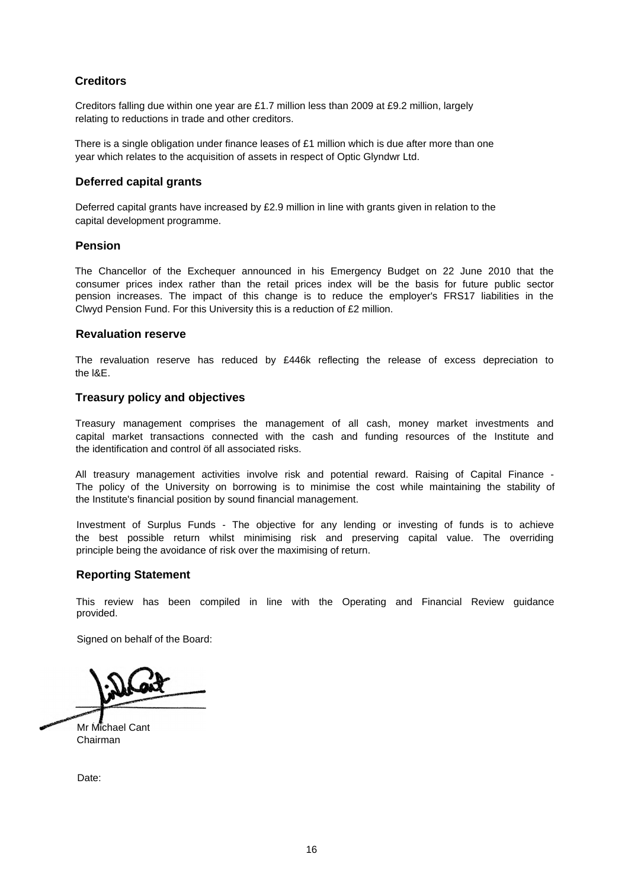## **Creditors**

Creditors falling due within one year are £1.7 million less than 2009 at £9.2 million, largely relating to reductions in trade and other creditors.

There is a single obligation under finance leases of  $£1$  million which is due after more than one year which relates to the acquisition of assets in respect of Optic Glyndwr Ltd.

## **Deferred capital grants**

Deferred capital grants have increased by £2.9 million in line with grants given in relation to the capital development programme.

### **Pension**

The Chancellor of the Exchequer announced in his Emergency Budget on 22 June 2010 that the consumer prices index rather than the retail prices index will be the basis for future public sector pension increases. The impact of this change is to reduce the employer's FRS17 liabilities in the Clwyd Pension Fund. For this University this is a reduction of £2 million.

### **Revaluation reserve**

The revaluation reserve has reduced by £446k reflecting the release of excess depreciation to the l&E.

## **Treasury policy and objectives**

Treasury management comprises the management of all cash, money market investments and capital market transactions connected with the cash and funding resources of the Institute and the identification and control öf all associated risks.

All treasury management activities involve risk and potential reward. Raising of Capital Finance - The policy of the University on borrowing is to minimise the cost while maintaining the stability of the Institute's financial position by sound financial management.

Investment of Surplus Funds - The objective for any lending or investing of funds is to achieve the best possible return whilst minimising risk and preserving capital value. The overriding principle being the avoidance of risk over the maximising of return.

## **Reporting Statement**

This review has been compiled in line with the Operating and Financial Review guidance provided.

Signed on behalf of the Board:

Mr Michael Cant Chairman

Date: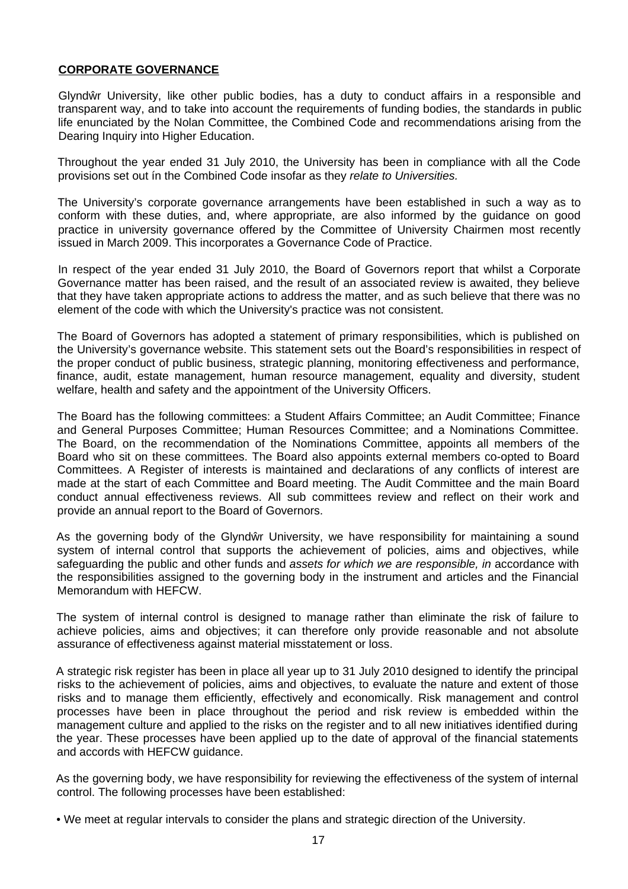## **CORPORATE GOVERNANCE**

<span id="page-17-0"></span>Glynd r University, like other public bodies, has a duty to conduct affairs in a responsible and transparent way, and to take into account the requirements of funding bodies, the standards in public life enunciated by the Nolan Committee, the Combined Code and recommendations arising from the Dearing Inquiry into Higher Education.

Throughout the year ended 31 July 2010, the University has been in compliance with all the Code provisions set out ín the Combined Code insofar as they *relate to Universities.*

The University's corporate governance arrangements have been established in such a way as to conform with these duties, and, where appropriate, are also informed by the guidance on good practice in university governance offered by the Committee of University Chairmen most recently issued in March 2009. This incorporates a Governance Code of Practice.

In respect of the year ended 31 July 2010, the Board of Governors report that whilst a Corporate Governance matter has been raised, and the result of an associated review is awaited, they believe that they have taken appropriate actions to address the matter, and as such believe that there was no element of the code with which the University's practice was not consistent.

The Board of Governors has adopted a statement of primary responsibilities, which is published on the University's governance website. This statement sets out the Board's responsibilities in respect of the proper conduct of public business, strategic planning, monitoring effectiveness and performance, finance, audit, estate management, human resource management, equality and diversity, student welfare, health and safety and the appointment of the University Officers.

The Board has the following committees: a Student Affairs Committee; an Audit Committee; Finance and General Purposes Committee; Human Resources Committee; and a Nominations Committee. The Board, on the recommendation of the Nominations Committee, appoints all members of the Board who sit on these committees. The Board also appoints external members co-opted to Board Committees. A Register of interests is maintained and declarations of any conflicts of interest are made at the start of each Committee and Board meeting. The Audit Committee and the main Board conduct annual effectiveness reviews. All sub committees review and reflect on their work and provide an annual report to the Board of Governors.

As the governing body of the Glynd r University, we have responsibility for maintaining a sound system of internal control that supports the achievement of policies, aims and objectives, while safeguarding the public and other funds and *assets for which we are responsible, in* accordance with the responsibilities assigned to the governing body in the instrument and articles and the Financial Memorandum with HEFCW.

The system of internal control is designed to manage rather than eliminate the risk of failure to achieve policies, aims and objectives; it can therefore only provide reasonable and not absolute assurance of effectiveness against material misstatement or loss.

A strategic risk register has been in place all year up to 31 July 2010 designed to identify the principal risks to the achievement of policies, aims and objectives, to evaluate the nature and extent of those risks and to manage them efficiently, effectively and economically. Risk management and control processes have been in place throughout the period and risk review is embedded within the management culture and applied to the risks on the register and to all new initiatives identified during the year. These processes have been applied up to the date of approval of the financial statements and accords with HEFCW guidance.

As the governing body, we have responsibility for reviewing the effectiveness of the system of internal control. The following processes have been established:

<sup>•</sup> We meet at regular intervals to consider the plans and strategic direction of the University.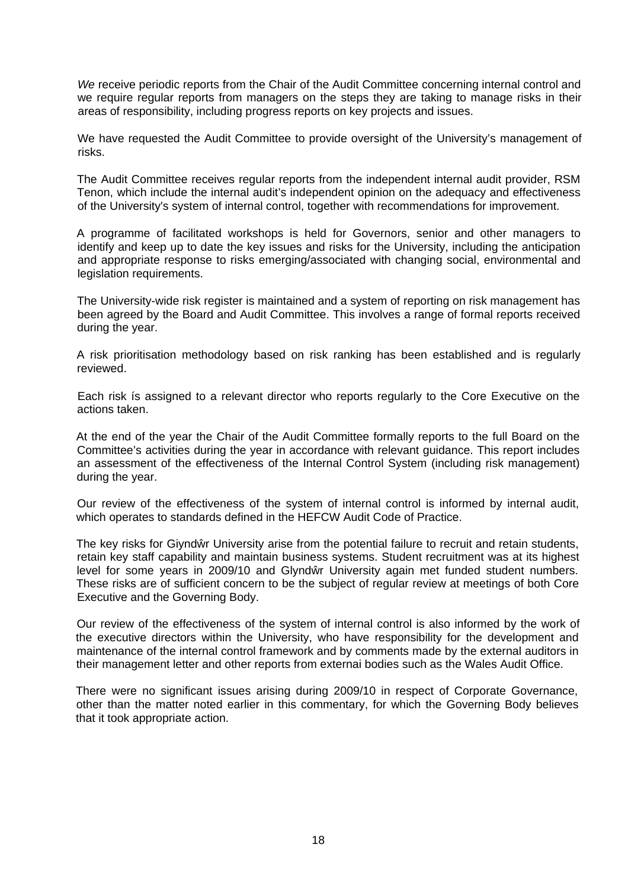*We* receive periodic reports from the Chair of the Audit Committee concerning internal control and we require regular reports from managers on the steps they are taking to manage risks in their areas of responsibility, including progress reports on key projects and issues.

We have requested the Audit Committee to provide oversight of the University's management of risks.

The Audit Committee receives regular reports from the independent internal audit provider, RSM Tenon, which include the internal audit's independent opinion on the adequacy and effectiveness of the University's system of internal control, together with recommendations for improvement.

A programme of facilitated workshops is held for Governors, senior and other managers to identify and keep up to date the key issues and risks for the University, including the anticipation and appropriate response to risks emerging/associated with changing social, environmental and legislation requirements.

The University-wide risk register is maintained and a system of reporting on risk management has been agreed by the Board and Audit Committee. This involves a range of formal reports received during the year.

A risk prioritisation methodology based on risk ranking has been established and is regularly reviewed.

Each risk ís assigned to a relevant director who reports regularly to the Core Executive on the actions taken.

At the end of the year the Chair of the Audit Committee formally reports to the full Board on the Committee's activities during the year in accordance with relevant guidance. This report includes an assessment of the effectiveness of the Internal Control System (including risk management) during the year.

Our review of the effectiveness of the system of internal control is informed by internal audit, which operates to standards defined in the HEFCW Audit Code of Practice.

The key risks for Giynd r University arise from the potential failure to recruit and retain students, retain key staff capability and maintain business systems. Student recruitment was at its highest level for some years in 2009/10 and Glynd r University again met funded student numbers. These risks are of sufficient concern to be the subject of regular review at meetings of both Core Executive and the Governing Body.

Our review of the effectiveness of the system of internal control is also informed by the work of the executive directors within the University, who have responsibility for the development and maintenance of the internal control framework and by comments made by the external auditors in their management letter and other reports from externai bodies such as the Wales Audit Office.

There were no significant issues arising during 2009/10 in respect of Corporate Governance, other than the matter noted earlier in this commentary, for which the Governing Body believes that it took appropriate action.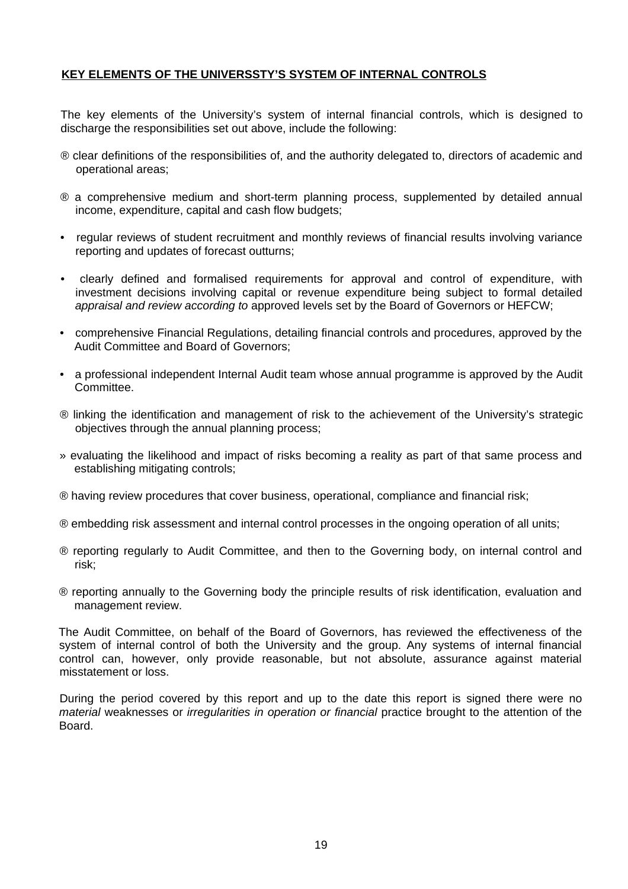## **KEY ELEMENTS OF THE UNIVERSSTY'S SYSTEM OF INTERNAL CONTROLS**

The key elements of the University's system of internal financial controls, which is designed to discharge the responsibilities set out above, include the following:

- ® clear definitions of the responsibilities of, and the authority delegated to, directors of academic and operational areas;
- ® a comprehensive medium and short-term planning process, supplemented by detailed annual income, expenditure, capital and cash flow budgets;
- regular reviews of student recruitment and monthly reviews of financial results involving variance reporting and updates of forecast outturns;
- clearly defined and formalised requirements for approval and control of expenditure, with investment decisions involving capital or revenue expenditure being subject to formal detailed *appraisal and review according to* approved levels set by the Board of Governors or HEFCW;
- comprehensive Financial Regulations, detailing financial controls and procedures, approved by the Audit Committee and Board of Governors;
- a professional independent Internal Audit team whose annual programme is approved by the Audit Committee.
- ® linking the identification and management of risk to the achievement of the University's strategic objectives through the annual planning process;
- » evaluating the likelihood and impact of risks becoming a reality as part of that same process and establishing mitigating controls;
- ® having review procedures that cover business, operational, compliance and financial risk;
- ® embedding risk assessment and internal control processes in the ongoing operation of all units;
- ® reporting regularly to Audit Committee, and then to the Governing body, on internal control and risk;
- ® reporting annually to the Governing body the principle results of risk identification, evaluation and management review.

The Audit Committee, on behalf of the Board of Governors, has reviewed the effectiveness of the system of internal control of both the University and the group. Any systems of internal financial control can, however, only provide reasonable, but not absolute, assurance against material misstatement or loss.

During the period covered by this report and up to the date this report is signed there were no *material* weaknesses or *irregularities in operation or financial* practice brought to the attention of the Board.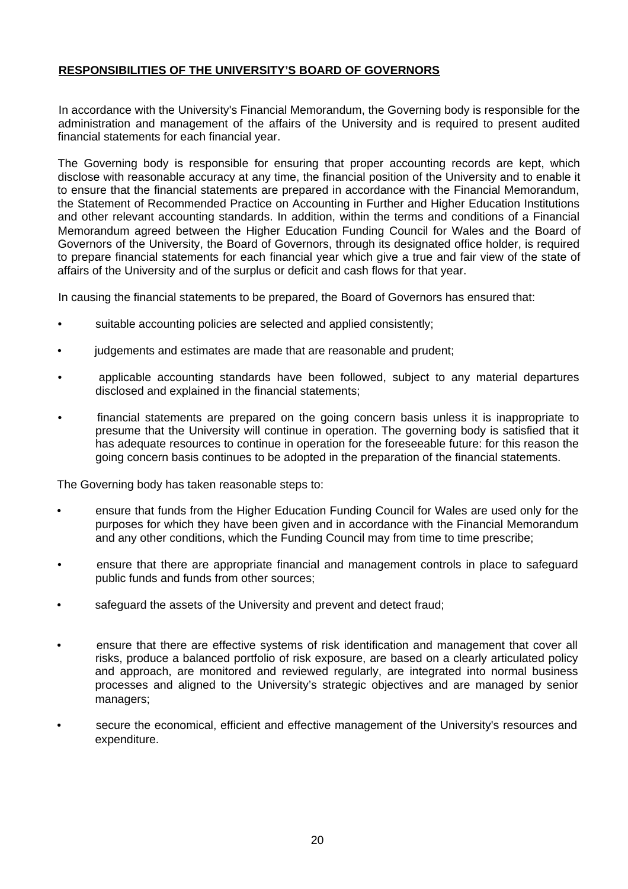## <span id="page-20-0"></span>**RESPONSIBILITIES OF THE UNIVERSITY'S BOARD OF GOVERNORS**

In accordance with the University's Financial Memorandum, the Governing body is responsible for the administration and management of the affairs of the University and is required to present audited financial statements for each financial year.

The Governing body is responsible for ensuring that proper accounting records are kept, which disclose with reasonable accuracy at any time, the financial position of the University and to enable it to ensure that the financial statements are prepared in accordance with the Financial Memorandum, the Statement of Recommended Practice on Accounting in Further and Higher Education Institutions and other relevant accounting standards. In addition, within the terms and conditions of a Financial Memorandum agreed between the Higher Education Funding Council for Wales and the Board of Governors of the University, the Board of Governors, through its designated office holder, is required to prepare financial statements for each financial year which give a true and fair view of the state of affairs of the University and of the surplus or deficit and cash flows for that year.

In causing the financial statements to be prepared, the Board of Governors has ensured that:

- suitable accounting policies are selected and applied consistently;
- judgements and estimates are made that are reasonable and prudent;
- applicable accounting standards have been followed, subject to any material departures disclosed and explained in the financial statements;
- financial statements are prepared on the going concern basis unless it is inappropriate to presume that the University will continue in operation. The governing body is satisfied that it has adequate resources to continue in operation for the foreseeable future: for this reason the going concern basis continues to be adopted in the preparation of the financial statements.

The Governing body has taken reasonable steps to:

- ensure that funds from the Higher Education Funding Council for Wales are used only for the purposes for which they have been given and in accordance with the Financial Memorandum and any other conditions, which the Funding Council may from time to time prescribe;
- ensure that there are appropriate financial and management controls in place to safeguard public funds and funds from other sources;
- safeguard the assets of the University and prevent and detect fraud;
- ensure that there are effective systems of risk identification and management that cover all risks, produce a balanced portfolio of risk exposure, are based on a clearly articulated policy and approach, are monitored and reviewed regularly, are integrated into normal business processes and aligned to the University's strategic objectives and are managed by senior managers;
- secure the economical, efficient and effective management of the University's resources and expenditure.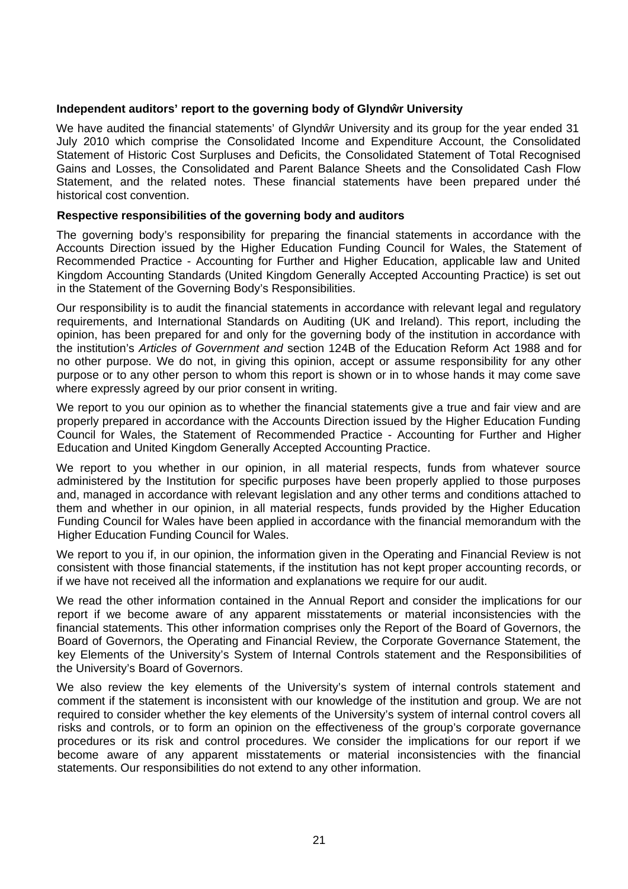## Independent auditors' report to the governing body of Glynd r University

We have audited the financial statements' of Glynd r University and its group for the year ended 31 July 2010 which comprise the Consolidated Income and Expenditure Account, the Consolidated Statement of Historic Cost Surpluses and Deficits, the Consolidated Statement of Total Recognised Gains and Losses, the Consolidated and Parent Balance Sheets and the Consolidated Cash Flow Statement, and the related notes. These financial statements have been prepared under thé historical cost convention.

## **Respective responsibilities of the governing body and auditors**

The governing body's responsibility for preparing the financial statements in accordance with the Accounts Direction issued by the Higher Education Funding Council for Wales, the Statement of Recommended Practice - Accounting for Further and Higher Education, applicable law and United Kingdom Accounting Standards (United Kingdom Generally Accepted Accounting Practice) is set out in the Statement of the Governing Body's Responsibilities.

Our responsibility is to audit the financial statements in accordance with relevant legal and regulatory requirements, and International Standards on Auditing (UK and Ireland). This report, including the opinion, has been prepared for and only for the governing body of the institution in accordance with the institution's *Articles of Government and* section 124B of the Education Reform Act 1988 and for no other purpose. We do not, in giving this opinion, accept or assume responsibility for any other purpose or to any other person to whom this report is shown or in to whose hands it may come save where expressly agreed by our prior consent in writing.

We report to you our opinion as to whether the financial statements give a true and fair view and are properly prepared in accordance with the Accounts Direction issued by the Higher Education Funding Council for Wales, the Statement of Recommended Practice - Accounting for Further and Higher Education and United Kingdom Generally Accepted Accounting Practice.

We report to you whether in our opinion, in all material respects, funds from whatever source administered by the Institution for specific purposes have been properly applied to those purposes and, managed in accordance with relevant legislation and any other terms and conditions attached to them and whether in our opinion, in all material respects, funds provided by the Higher Education Funding Council for Wales have been applied in accordance with the financial memorandum with the Higher Education Funding Council for Wales.

We report to you if, in our opinion, the information given in the Operating and Financial Review is not consistent with those financial statements, if the institution has not kept proper accounting records, or if we have not received all the information and explanations we require for our audit.

We read the other information contained in the Annual Report and consider the implications for our report if we become aware of any apparent misstatements or material inconsistencies with the financial statements. This other information comprises only the Report of the Board of Governors, the Board of Governors, the Operating and Financial Review, the Corporate Governance Statement, the key Elements of the University's System of Internal Controls statement and the Responsibilities of the University's Board of Governors.

We also review the key elements of the University's system of internal controls statement and comment if the statement is inconsistent with our knowledge of the institution and group. We are not required to consider whether the key elements of the University's system of internal control covers all risks and controls, or to form an opinion on the effectiveness of the group's corporate governance procedures or its risk and control procedures. We consider the implications for our report if we become aware of any apparent misstatements or material inconsistencies with the financial statements. Our responsibilities do not extend to any other information.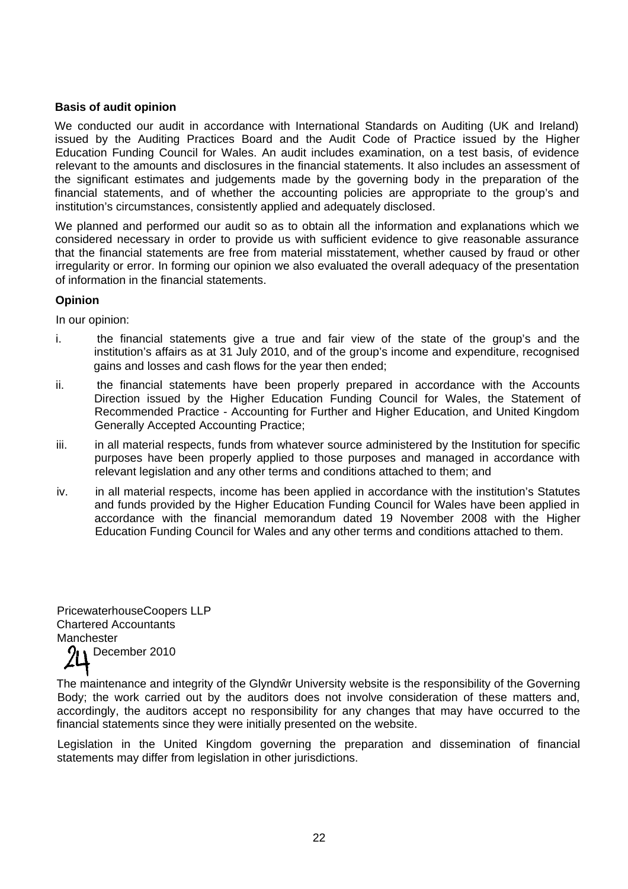## **Basis of audit opinion**

We conducted our audit in accordance with International Standards on Auditing (UK and Ireland) issued by the Auditing Practices Board and the Audit Code of Practice issued by the Higher Education Funding Council for Wales. An audit includes examination, on a test basis, of evidence relevant to the amounts and disclosures in the financial statements. It also includes an assessment of the significant estimates and judgements made by the governing body in the preparation of the financial statements, and of whether the accounting policies are appropriate to the group's and institution's circumstances, consistently applied and adequately disclosed.

We planned and performed our audit so as to obtain all the information and explanations which we considered necessary in order to provide us with sufficient evidence to give reasonable assurance that the financial statements are free from material misstatement, whether caused by fraud or other irregularity or error. In forming our opinion we also evaluated the overall adequacy of the presentation of information in the financial statements.

## **Opinion**

In our opinion:

- i. the financial statements give a true and fair view of the state of the group's and the institution's affairs as at 31 July 2010, and of the group's income and expenditure, recognised gains and losses and cash flows for the year then ended;
- ii. the financial statements have been properly prepared in accordance with the Accounts Direction issued by the Higher Education Funding Council for Wales, the Statement of Recommended Practice - Accounting for Further and Higher Education, and United Kingdom Generally Accepted Accounting Practice;
- iii. in all material respects, funds from whatever source administered by the Institution for specific purposes have been properly applied to those purposes and managed in accordance with relevant legislation and any other terms and conditions attached to them; and
- iv. in all material respects, income has been applied in accordance with the institution's Statutes and funds provided by the Higher Education Funding Council for Wales have been applied in accordance with the financial memorandum dated 19 November 2008 with the Higher Education Funding Council for Wales and any other terms and conditions attached to them.

PricewaterhouseCoopers LLP Chartered Accountants **Manchester December 2010** 

The maintenance and integrity of the Glynd r University website is the responsibility of the Governing Body; the work carried out by the auditors does not involve consideration of these matters and, accordingly, the auditors accept no responsibility for any changes that may have occurred to the financial statements since they were initially presented on the website.

Legislation in the United Kingdom governing the preparation and dissemination of financial statements may differ from legislation in other jurisdictions.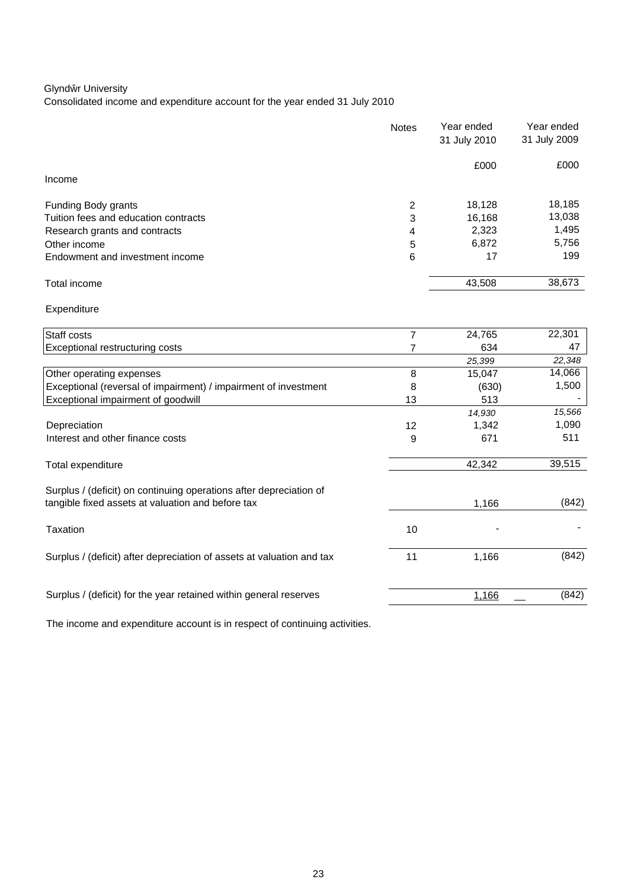## Glynd r University

Consolidated income and expenditure account for the year ended 31 July 2010

|                                      | <b>Notes</b> | Year ended<br>31 July 2010 | Year ended<br>31 July 2009 |
|--------------------------------------|--------------|----------------------------|----------------------------|
|                                      |              | £000                       | £000                       |
| Income                               |              |                            |                            |
| Funding Body grants                  | 2            | 18,128                     | 18,185                     |
| Tuition fees and education contracts | 3            | 16.168                     | 13,038                     |
| Research grants and contracts        | 4            | 2,323                      | 1,495                      |
| Other income                         | 5            | 6,872                      | 5,756                      |
| Endowment and investment income      | 6            | 17                         | 199                        |
| Total income                         |              | 43,508                     | 38,673                     |

## Expenditure

| Staff costs                                                                                                             |    | 24,765 | 22,301 |
|-------------------------------------------------------------------------------------------------------------------------|----|--------|--------|
| Exceptional restructuring costs                                                                                         |    | 634    | 47     |
|                                                                                                                         |    | 25,399 | 22,348 |
| Other operating expenses                                                                                                | 8  | 15,047 | 14,066 |
| Exceptional (reversal of impairment) / impairment of investment                                                         | 8  | (630)  | 1,500  |
| Exceptional impairment of goodwill                                                                                      | 13 | 513    |        |
|                                                                                                                         |    | 14,930 | 15,566 |
| Depreciation                                                                                                            | 12 | 1,342  | 1,090  |
| Interest and other finance costs                                                                                        | 9  | 671    | 511    |
| Total expenditure                                                                                                       |    | 42,342 | 39,515 |
| Surplus / (deficit) on continuing operations after depreciation of<br>tangible fixed assets at valuation and before tax |    | 1,166  | (842)  |
| Taxation                                                                                                                | 10 |        |        |
| Surplus / (deficit) after depreciation of assets at valuation and tax                                                   | 11 | 1,166  | (842)  |
| Surplus / (deficit) for the year retained within general reserves                                                       |    | 1,166  | (842)  |
|                                                                                                                         |    |        |        |

The income and expenditure account is in respect of continuing activities.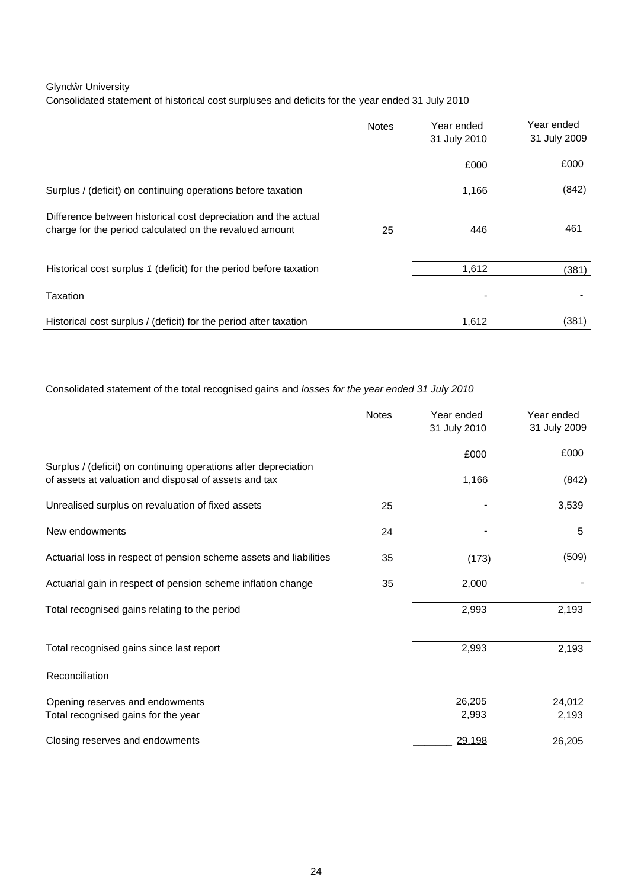### Glynd r University

Consolidated statement of historical cost surpluses and deficits for the year ended 31 July 2010

|                                                                                                                           | <b>Notes</b> | Year ended<br>31 July 2010 | Year ended<br>31 July 2009 |
|---------------------------------------------------------------------------------------------------------------------------|--------------|----------------------------|----------------------------|
|                                                                                                                           |              | £000                       | £000                       |
| Surplus / (deficit) on continuing operations before taxation                                                              |              | 1,166                      | (842)                      |
| Difference between historical cost depreciation and the actual<br>charge for the period calculated on the revalued amount | 25           | 446                        | 461                        |
| Historical cost surplus 1 (deficit) for the period before taxation                                                        |              | 1,612                      | (381)                      |
| Taxation                                                                                                                  |              |                            |                            |
| Historical cost surplus / (deficit) for the period after taxation                                                         |              | 1,612                      | (381)                      |

Consolidated statement of the total recognised gains and *losses for the year ended 31 July 2010*

|                                                                                                                          | <b>Notes</b> | Year ended<br>31 July 2010 | Year ended<br>31 July 2009 |
|--------------------------------------------------------------------------------------------------------------------------|--------------|----------------------------|----------------------------|
|                                                                                                                          |              | £000                       | £000                       |
| Surplus / (deficit) on continuing operations after depreciation<br>of assets at valuation and disposal of assets and tax |              | 1,166                      | (842)                      |
| Unrealised surplus on revaluation of fixed assets                                                                        | 25           |                            | 3,539                      |
| New endowments                                                                                                           | 24           |                            | 5                          |
| Actuarial loss in respect of pension scheme assets and liabilities                                                       | 35           | (173)                      | (509)                      |
| Actuarial gain in respect of pension scheme inflation change                                                             | 35           | 2,000                      |                            |
| Total recognised gains relating to the period                                                                            |              | 2,993                      | 2,193                      |
| Total recognised gains since last report                                                                                 |              | 2,993                      | 2,193                      |
| Reconciliation                                                                                                           |              |                            |                            |
| Opening reserves and endowments                                                                                          |              | 26,205                     | 24,012                     |
| Total recognised gains for the year                                                                                      |              | 2,993                      | 2,193                      |
| Closing reserves and endowments                                                                                          |              | 29,198                     | 26,205                     |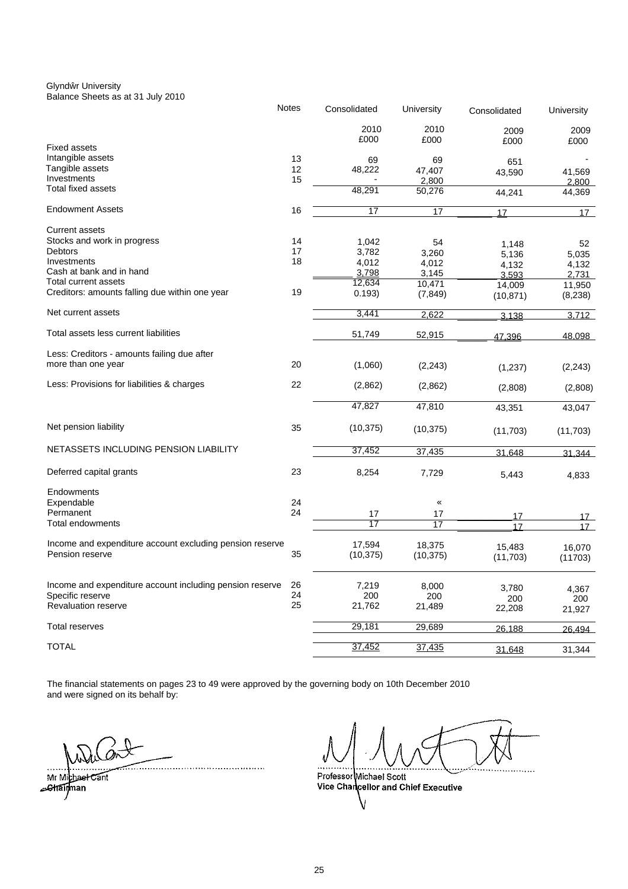Glynd r University Balance Sheets as at 31 July 2010

|                                                          | <b>Notes</b> | Consolidated    | University | Consolidated | University |
|----------------------------------------------------------|--------------|-----------------|------------|--------------|------------|
|                                                          |              | 2010            | 2010       | 2009         | 2009       |
|                                                          |              | £000            | £000       | £000         | £000       |
| <b>Fixed assets</b>                                      |              |                 |            |              |            |
| Intangible assets                                        | 13           | 69              | 69         | 651          |            |
| Tangible assets                                          | 12           | 48,222          | 47,407     | 43,590       | 41,569     |
| Investments                                              | 15           |                 | 2,800      |              | 2,800      |
| Total fixed assets                                       |              | 48,291          | 50,276     | 44,241       | 44,369     |
| <b>Endowment Assets</b>                                  | 16           | $\overline{17}$ | 17         | 17           | 17         |
| <b>Current assets</b>                                    |              |                 |            |              |            |
| Stocks and work in progress                              | 14           | 1,042           | 54         | 1,148        | 52         |
| Debtors                                                  | 17           | 3,782           | 3,260      | 5,136        | 5,035      |
| Investments                                              | 18           | 4,012           | 4,012      | 4,132        | 4,132      |
| Cash at bank and in hand                                 |              | 3,798           | 3,145      | 3.593        | 2,731      |
| Total current assets                                     |              | 12,634          | 10,471     | 14,009       | 11,950     |
| Creditors: amounts falling due within one year           | 19           | 0.193)          | (7, 849)   | (10, 871)    | (8, 238)   |
| Net current assets                                       |              | 3,441           | 2,622      | 3.138        | 3,712      |
|                                                          |              |                 |            |              |            |
| Total assets less current liabilities                    |              | 51,749          | 52,915     | 47.396       | 48.098     |
| Less: Creditors - amounts failing due after              |              |                 |            |              |            |
| more than one year                                       | 20           | (1,060)         | (2, 243)   | (1,237)      | (2, 243)   |
| Less: Provisions for liabilities & charges               | 22           | (2,862)         | (2,862)    | (2,808)      | (2,808)    |
|                                                          |              | 47,827          | 47,810     |              |            |
|                                                          |              |                 |            | 43,351       | 43,047     |
| Net pension liability                                    | 35           | (10, 375)       | (10, 375)  | (11,703)     | (11, 703)  |
| NETASSETS INCLUDING PENSION LIABILITY                    |              | 37,452          | 37,435     | 31,648       | 31.344     |
|                                                          |              |                 |            |              |            |
| Deferred capital grants                                  | 23           | 8,254           | 7,729      | 5,443        | 4,833      |
| Endowments                                               |              |                 |            |              |            |
| Expendable                                               | 24           |                 | «          |              |            |
| Permanent                                                | 24           | 17              | 17         | 17           | 17         |
| Total endowments                                         |              | 17              | 17         | 17           | 17         |
| Income and expenditure account excluding pension reserve |              | 17,594          | 18,375     |              |            |
| Pension reserve                                          | 35           | (10, 375)       |            | 15,483       | 16,070     |
|                                                          |              |                 | (10, 375)  | (11, 703)    | (11703)    |
| Income and expenditure account including pension reserve | 26           | 7,219           | 8,000      |              |            |
| Specific reserve                                         | 24           | 200             | 200        | 3,780        | 4,367      |
| <b>Revaluation reserve</b>                               | 25           | 21,762          | 21,489     | 200          | 200        |
|                                                          |              |                 |            | 22,208       | 21,927     |
| Total reserves                                           |              | 29,181          | 29,689     | 26,188       | 26.494     |
|                                                          |              |                 |            |              |            |
| <b>TOTAL</b>                                             |              | 37,452          | 37,435     | 31,648       | 31,344     |

The financial statements on pages 23 to 49 were approved by the governing body on 10th December 2010 and were signed on its behalf by:

Mr Michael Cant **A**strainman

Professor Michael Scott<br>Vice Chancellor and Chief Executive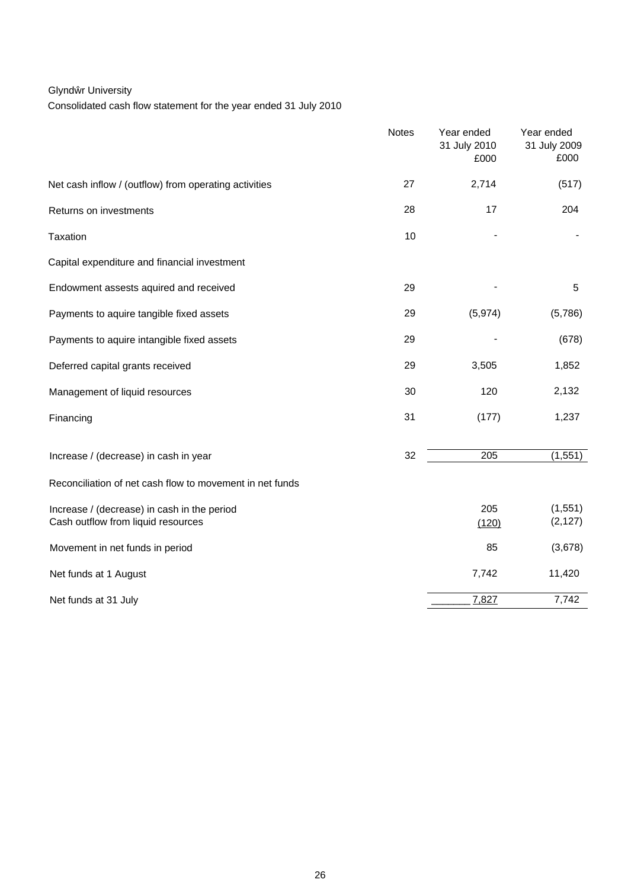## Glynd r University

Consolidated cash flow statement for the year ended 31 July 2010

|                                                                                   | <b>Notes</b> | Year ended<br>31 July 2010<br>£000 | Year ended<br>31 July 2009<br>£000 |
|-----------------------------------------------------------------------------------|--------------|------------------------------------|------------------------------------|
| Net cash inflow / (outflow) from operating activities                             | 27           | 2,714                              | (517)                              |
| Returns on investments                                                            | 28           | 17                                 | 204                                |
| Taxation                                                                          | 10           |                                    |                                    |
| Capital expenditure and financial investment                                      |              |                                    |                                    |
| Endowment assests aquired and received                                            | 29           |                                    | 5                                  |
| Payments to aquire tangible fixed assets                                          | 29           | (5,974)                            | (5,786)                            |
| Payments to aquire intangible fixed assets                                        | 29           |                                    | (678)                              |
| Deferred capital grants received                                                  | 29           | 3,505                              | 1,852                              |
| Management of liquid resources                                                    | 30           | 120                                | 2,132                              |
| Financing                                                                         | 31           | (177)                              | 1,237                              |
| Increase / (decrease) in cash in year                                             | 32           | 205                                | (1, 551)                           |
| Reconciliation of net cash flow to movement in net funds                          |              |                                    |                                    |
| Increase / (decrease) in cash in the period<br>Cash outflow from liquid resources |              | 205<br>(120)                       | (1, 551)<br>(2, 127)               |
| Movement in net funds in period                                                   |              | 85                                 | (3,678)                            |
| Net funds at 1 August                                                             |              | 7,742                              | 11,420                             |
| Net funds at 31 July                                                              |              | 7,827                              | 7,742                              |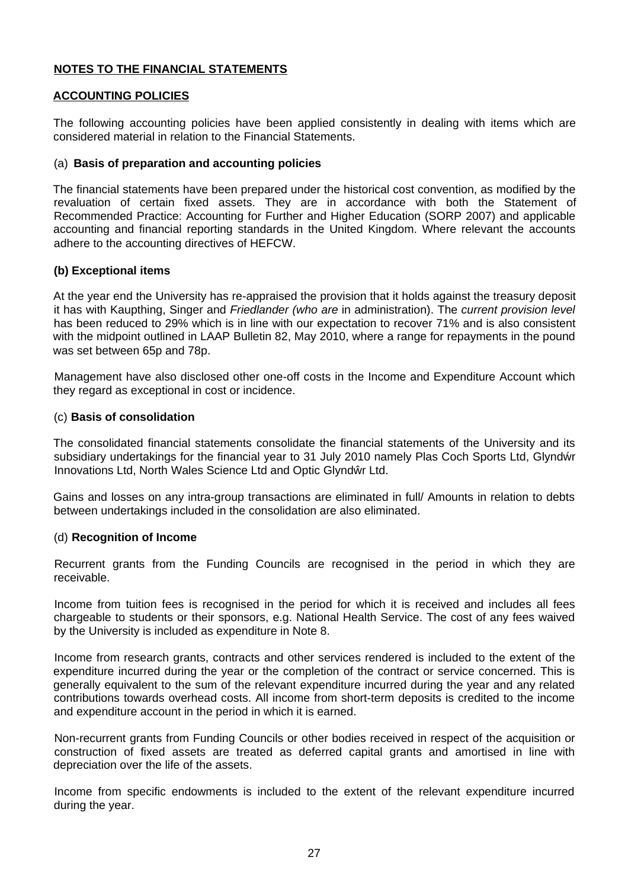## **NOTES TO THE FINANCIAL STATEMENTS**

## **ACCOUNTING POLICIES**

The following accounting policies have been applied consistently in dealing with items which are considered material in relation to the Financial Statements.

## (a) **Basis of preparation and accounting policies**

The financial statements have been prepared under the historical cost convention, as modified by the revaluation of certain fixed assets. They are in accordance with both the Statement of Recommended Practice: Accounting for Further and Higher Education (SORP 2007) and applicable accounting and financial reporting standards in the United Kingdom. Where relevant the accounts adhere to the accounting directives of HEFCW.

## **(b) Exceptional items**

At the year end the University has re-appraised the provision that it holds against the treasury deposit it has with Kaupthing, Singer and *Friedlander (who are* in administration). The *current provision level* has been reduced to 29% which is in line with our expectation to recover 71% and is also consistent with the midpoint outlined in LAAP Bulletin 82, May 2010, where a range for repayments in the pound was set between 65p and 78p.

Management have also disclosed other one-off costs in the Income and Expenditure Account which they regard as exceptional in cost or incidence.

## (c) **Basis of consolidation**

The consolidated financial statements consolidate the financial statements of the University and its subsidiary undertakings for the financial year to 31 July 2010 namely Plas Coch Sports Ltd, Glynd r Innovations Ltd, North Wales Science Ltd and Optic Glynd r Ltd.

Gains and losses on any intra-group transactions are eliminated in full/ Amounts in relation to debts between undertakings included in the consolidation are also eliminated.

## (d) **Recognition of Income**

Recurrent grants from the Funding Councils are recognised in the period in which they are receivable.

Income from tuition fees is recognised in the period for which it is received and includes all fees chargeable to students or their sponsors, e.g. National Health Service. The cost of any fees waived by the University is included as expenditure in Note 8.

Income from research grants, contracts and other services rendered is included to the extent of the expenditure incurred during the year or the completion of the contract or service concerned. This is generally equivalent to the sum of the relevant expenditure incurred during the year and any related contributions towards overhead costs. All income from short-term deposits is credited to the income and expenditure account in the period in which it is earned.

Non-recurrent grants from Funding Councils or other bodies received in respect of the acquisition or construction of fixed assets are treated as deferred capital grants and amortised in line with depreciation over the life of the assets.

Income from specific endowments is included to the extent of the relevant expenditure incurred during the year.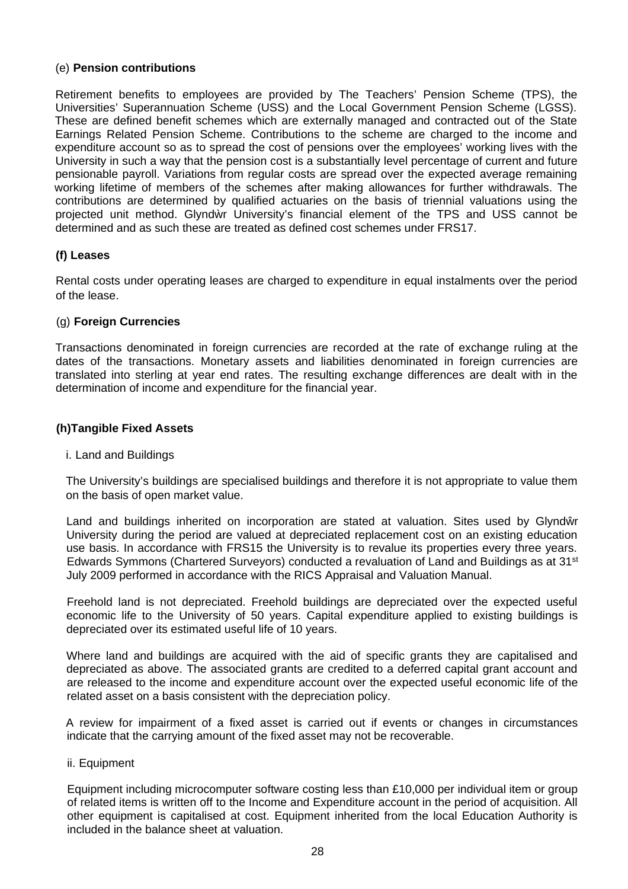## (e) **Pension contributions**

Retirement benefits to employees are provided by The Teachers' Pension Scheme (TPS), the Universities' Superannuation Scheme (USS) and the Local Government Pension Scheme (LGSS). These are defined benefit schemes which are externally managed and contracted out of the State Earnings Related Pension Scheme. Contributions to the scheme are charged to the income and expenditure account so as to spread the cost of pensions over the employees' working lives with the University in such a way that the pension cost is a substantially level percentage of current and future pensionable payroll. Variations from regular costs are spread over the expected average remaining working lifetime of members of the schemes after making allowances for further withdrawals. The contributions are determined by qualified actuaries on the basis of triennial valuations using the projected unit method. Glynd r University's financial element of the TPS and USS cannot be determined and as such these are treated as defined cost schemes under FRS17.

## **(f) Leases**

Rental costs under operating leases are charged to expenditure in equal instalments over the period of the lease.

## (g) **Foreign Currencies**

Transactions denominated in foreign currencies are recorded at the rate of exchange ruling at the dates of the transactions. Monetary assets and liabilities denominated in foreign currencies are translated into sterling at year end rates. The resulting exchange differences are dealt with in the determination of income and expenditure for the financial year.

## **(h)Tangible Fixed Assets**

## i. Land and Buildings

The University's buildings are specialised buildings and therefore it is not appropriate to value them on the basis of open market value.

Land and buildings inherited on incorporation are stated at valuation. Sites used by Glynd r University during the period are valued at depreciated replacement cost on an existing education use basis. In accordance with FRS15 the University is to revalue its properties every three years. Edwards Symmons (Chartered Surveyors) conducted a revaluation of Land and Buildings as at 31st July 2009 performed in accordance with the RICS Appraisal and Valuation Manual.

Freehold land is not depreciated. Freehold buildings are depreciated over the expected useful economic life to the University of 50 years. Capital expenditure applied to existing buildings is depreciated over its estimated useful life of 10 years.

Where land and buildings are acquired with the aid of specific grants they are capitalised and depreciated as above. The associated grants are credited to a deferred capital grant account and are released to the income and expenditure account over the expected useful economic life of the related asset on a basis consistent with the depreciation policy.

A review for impairment of a fixed asset is carried out if events or changes in circumstances indicate that the carrying amount of the fixed asset may not be recoverable.

## ii. Equipment

Equipment including microcomputer software costing less than £10,000 per individual item or group of related items is written off to the Income and Expenditure account in the period of acquisition. All other equipment is capitalised at cost. Equipment inherited from the local Education Authority is included in the balance sheet at valuation.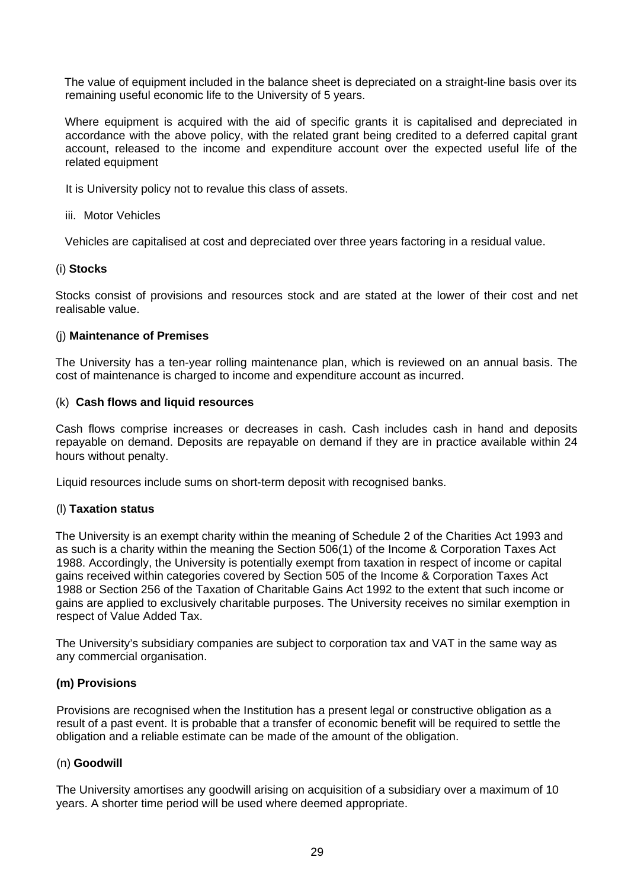The value of equipment included in the balance sheet is depreciated on a straight-line basis over its remaining useful economic life to the University of 5 years.

Where equipment is acquired with the aid of specific grants it is capitalised and depreciated in accordance with the above policy, with the related grant being credited to a deferred capital grant account, released to the income and expenditure account over the expected useful life of the related equipment

It is University policy not to revalue this class of assets.

## iii. Motor Vehicles

Vehicles are capitalised at cost and depreciated over three years factoring in a residual value.

## (i) **Stocks**

Stocks consist of provisions and resources stock and are stated at the lower of their cost and net realisable value.

## (j) **Maintenance of Premises**

The University has a ten-year rolling maintenance plan, which is reviewed on an annual basis. The cost of maintenance is charged to income and expenditure account as incurred.

## (k) **Cash flows and liquid resources**

Cash flows comprise increases or decreases in cash. Cash includes cash in hand and deposits repayable on demand. Deposits are repayable on demand if they are in practice available within 24 hours without penalty.

Liquid resources include sums on short-term deposit with recognised banks.

## (l) **Taxation status**

The University is an exempt charity within the meaning of Schedule 2 of the Charities Act 1993 and as such is a charity within the meaning the Section 506(1) of the Income & Corporation Taxes Act 1988. Accordingly, the University is potentially exempt from taxation in respect of income or capital gains received within categories covered by Section 505 of the Income & Corporation Taxes Act 1988 or Section 256 of the Taxation of Charitable Gains Act 1992 to the extent that such income or gains are applied to exclusively charitable purposes. The University receives no similar exemption in respect of Value Added Tax.

The University's subsidiary companies are subject to corporation tax and VAT in the same way as any commercial organisation.

## **(m) Provisions**

Provisions are recognised when the Institution has a present legal or constructive obligation as a result of a past event. It is probable that a transfer of economic benefit will be required to settle the obligation and a reliable estimate can be made of the amount of the obligation.

## (n) **Goodwill**

The University amortises any goodwill arising on acquisition of a subsidiary over a maximum of 10 years. A shorter time period will be used where deemed appropriate.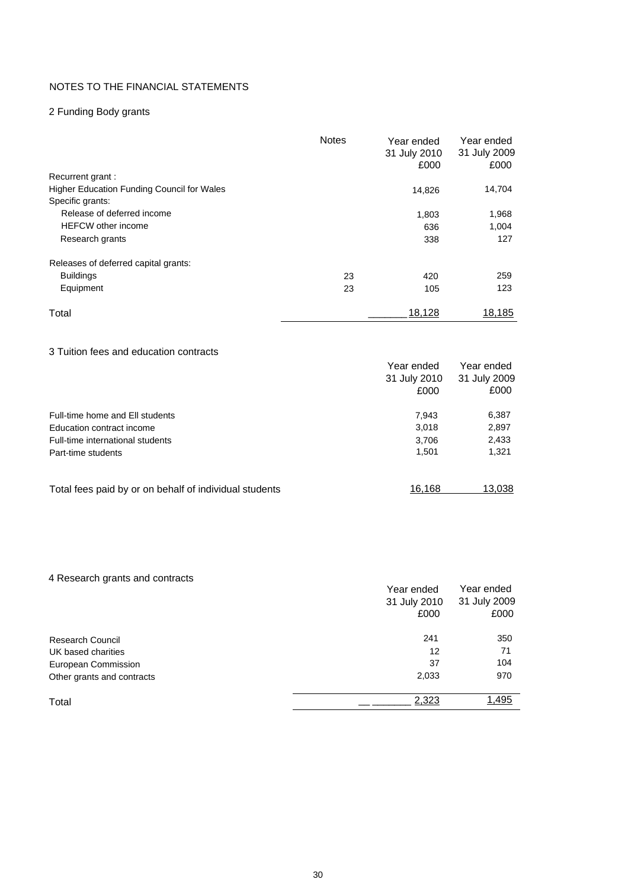## NOTES TO THE FINANCIAL STATEMENTS

## 2 Funding Body grants

|                                                   | <b>Notes</b> | Year ended<br>31 July 2010<br>£000 | Year ended<br>31 July 2009<br>£000 |
|---------------------------------------------------|--------------|------------------------------------|------------------------------------|
| Recurrent grant:                                  |              |                                    |                                    |
| <b>Higher Education Funding Council for Wales</b> |              | 14,826                             | 14,704                             |
| Specific grants:                                  |              |                                    |                                    |
| Release of deferred income                        |              | 1,803                              | 1,968                              |
| <b>HEFCW</b> other income                         |              | 636                                | 1,004                              |
| Research grants                                   |              | 338                                | 127                                |
| Releases of deferred capital grants:              |              |                                    |                                    |
| <b>Buildings</b>                                  | 23           | 420                                | 259                                |
| Equipment                                         | 23           | 105                                | 123                                |
| Total                                             |              | 18,128                             | 18,185                             |

## 3 Tuition fees and education contracts

|                                                        | Year ended<br>31 July 2010<br>£000 | Year ended<br>31 July 2009<br>£000 |
|--------------------------------------------------------|------------------------------------|------------------------------------|
| Full-time home and Ell students                        | 7.943                              | 6,387                              |
| Education contract income                              | 3,018                              | 2,897                              |
| Full-time international students                       | 3,706                              | 2,433                              |
| Part-time students                                     | 1,501                              | 1,321                              |
| Total fees paid by or on behalf of individual students | 16.168                             | 13,038                             |

| 4 Research grants and contracts |              |              |
|---------------------------------|--------------|--------------|
|                                 | Year ended   | Year ended   |
|                                 | 31 July 2010 | 31 July 2009 |
|                                 | £000         | £000         |
| <b>Research Council</b>         | 241          | 350          |
| UK based charities              | 12           | 71           |
| European Commission             | 37           | 104          |
| Other grants and contracts      | 2,033        | 970          |
| Total                           | 2,323        | 1,495        |
|                                 |              |              |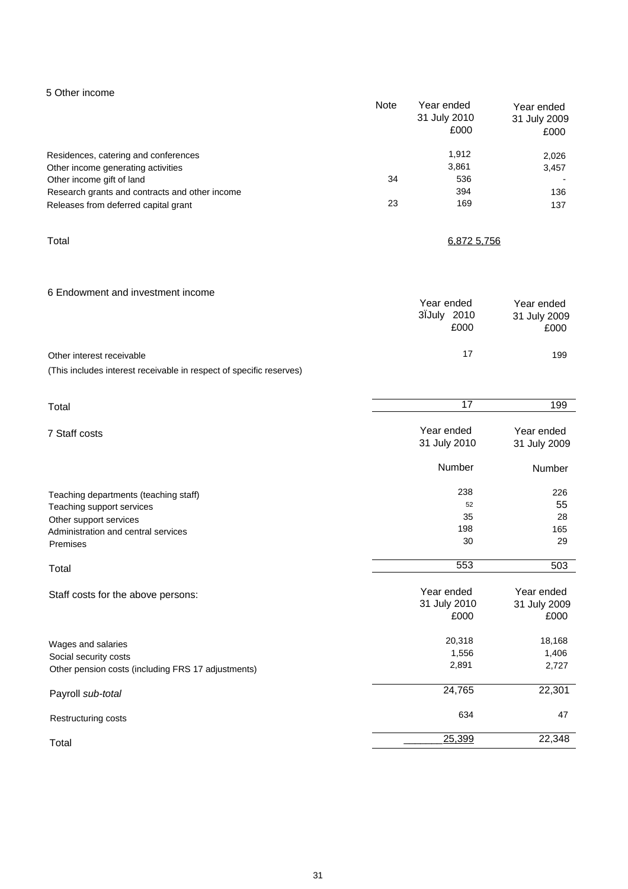| 5 Other income                                 | Note | Year ended<br>31 July 2010<br>£000 | Year ended<br>31 July 2009<br>£000 |
|------------------------------------------------|------|------------------------------------|------------------------------------|
| Residences, catering and conferences           |      | 1,912                              | 2,026                              |
| Other income generating activities             |      | 3,861                              | 3,457                              |
| Other income gift of land                      | 34   | 536                                |                                    |
| Research grants and contracts and other income |      | 394                                | 136                                |
| Releases from deferred capital grant           | 23   | 169                                | 137                                |
|                                                |      |                                    |                                    |

Total 6,872 5,756

| 6 Endowment and investment income                                   | Year ended<br>3IJuly 2010<br>£000 | Year ended<br>31 July 2009<br>£000 |
|---------------------------------------------------------------------|-----------------------------------|------------------------------------|
| Other interest receivable                                           | 17                                | 199                                |
| (This includes interest receivable in respect of specific reserves) |                                   |                                    |

| Total                                              | 17                                 | 199                                |
|----------------------------------------------------|------------------------------------|------------------------------------|
| 7 Staff costs                                      | Year ended<br>31 July 2010         | Year ended<br>31 July 2009         |
|                                                    | Number                             | Number                             |
| Teaching departments (teaching staff)              | 238                                | 226                                |
| Teaching support services                          | 52                                 | 55                                 |
| Other support services                             | 35                                 | 28                                 |
| Administration and central services                | 198                                | 165                                |
| Premises                                           | 30                                 | 29                                 |
| Total                                              | 553                                | 503                                |
| Staff costs for the above persons:                 | Year ended<br>31 July 2010<br>£000 | Year ended<br>31 July 2009<br>£000 |
| Wages and salaries                                 | 20,318                             | 18,168                             |
| Social security costs                              | 1,556                              | 1,406                              |
| Other pension costs (including FRS 17 adjustments) | 2,891                              | 2,727                              |
| Payroll sub-total                                  | 24,765                             | 22,301                             |
| Restructuring costs                                | 634                                | 47                                 |
| Total                                              | 25,399                             | 22,348                             |
|                                                    |                                    |                                    |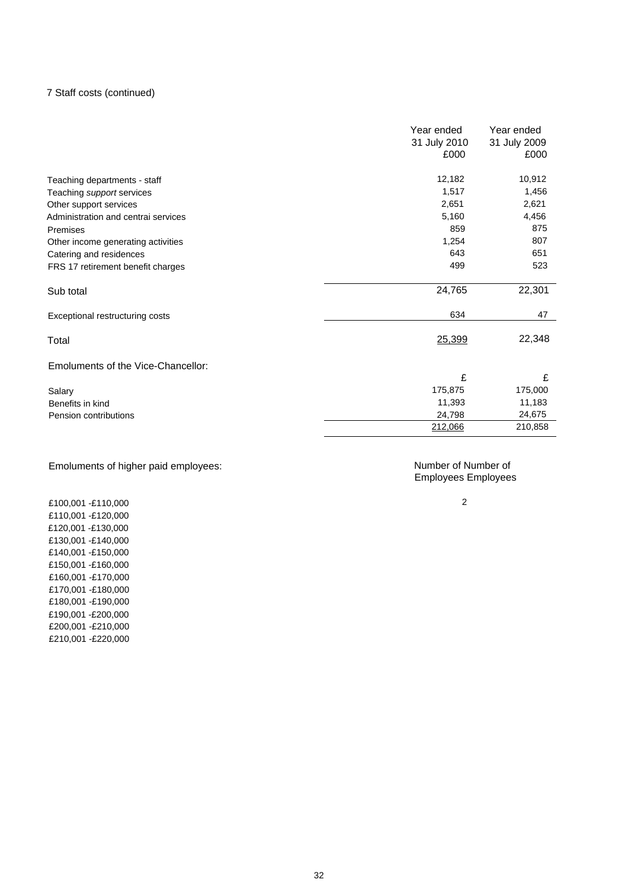### 7 Staff costs (continued)

|                                     | Year ended   | Year ended   |
|-------------------------------------|--------------|--------------|
|                                     | 31 July 2010 | 31 July 2009 |
|                                     | £000         | £000         |
| Teaching departments - staff        | 12,182       | 10,912       |
| Teaching support services           | 1,517        | 1,456        |
| Other support services              | 2,651        | 2,621        |
| Administration and central services | 5,160        | 4,456        |
| Premises                            | 859          | 875          |
| Other income generating activities  | 1,254        | 807          |
| Catering and residences             | 643          | 651          |
| FRS 17 retirement benefit charges   | 499          | 523          |
| Sub total                           | 24,765       | 22,301       |
| Exceptional restructuring costs     | 634          | 47           |
| Total                               | 25,399       | 22,348       |
| Emoluments of the Vice-Chancellor:  |              |              |
|                                     | £            | £            |
| Salary                              | 175,875      | 175,000      |
| Benefits in kind                    | 11,393       | 11,183       |
| Pension contributions               | 24,798       | 24,675       |
|                                     | 212,066      | 210,858      |

## Emoluments of higher paid employees:

Number of Number of Employees Employees

2

£100,001 -£110,000 £110,001 -£120,000 £120,001 -£130,000 £130,001 -£140,000 £140,001 -£150,000 £150,001 -£160,000 £160,001 -£170,000 £170,001 -£180,000 £180,001 -£190,000 £190,001 -£200,000 £200,001 -£210,000 £210,001 -£220,000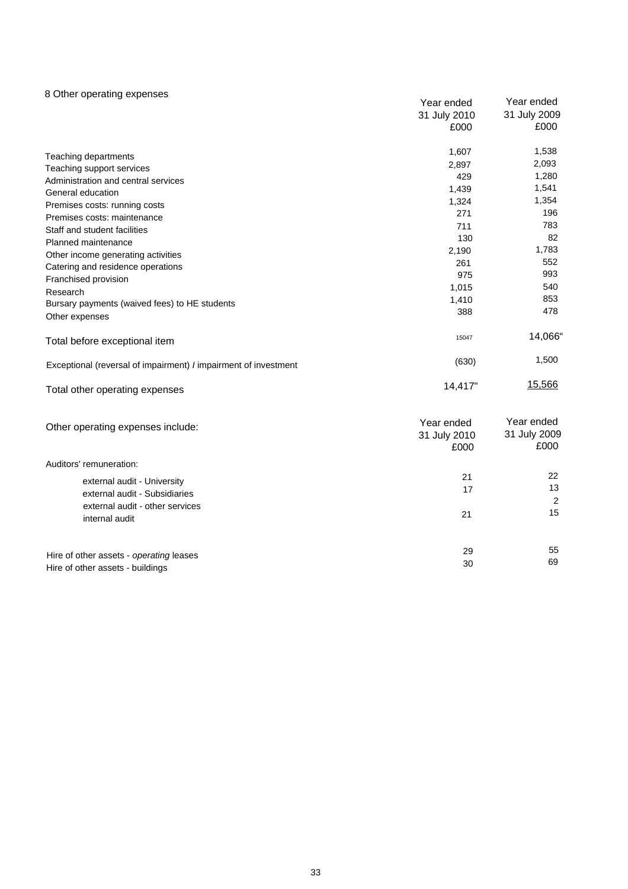### 8 Other operating expenses

|                                                                 | Year ended                         | Year ended                         |
|-----------------------------------------------------------------|------------------------------------|------------------------------------|
|                                                                 | 31 July 2010                       | 31 July 2009                       |
|                                                                 | £000                               | £000                               |
| Teaching departments                                            | 1,607                              | 1,538                              |
| Teaching support services                                       | 2,897                              | 2,093                              |
| Administration and central services                             | 429                                | 1,280                              |
| General education                                               | 1,439                              | 1,541                              |
| Premises costs: running costs                                   | 1,324                              | 1,354                              |
| Premises costs: maintenance                                     | 271                                | 196                                |
| Staff and student facilities                                    | 711                                | 783                                |
| Planned maintenance                                             | 130                                | 82                                 |
| Other income generating activities                              | 2,190                              | 1,783                              |
| Catering and residence operations                               | 261                                | 552                                |
| Franchised provision                                            | 975                                | 993                                |
| Research                                                        | 1,015                              | 540                                |
| Bursary payments (waived fees) to HE students                   | 1,410                              | 853                                |
| Other expenses                                                  | 388                                | 478                                |
| Total before exceptional item                                   | 15047                              | 14,066"                            |
| Exceptional (reversal of impairment) / impairment of investment | (630)                              | 1,500                              |
| Total other operating expenses                                  | 14,417"                            | 15,566                             |
| Other operating expenses include:                               | Year ended<br>31 July 2010<br>£000 | Year ended<br>31 July 2009<br>£000 |
| Auditors' remuneration:                                         |                                    |                                    |
| external audit - University                                     | 21                                 | 22                                 |
| external audit - Subsidiaries                                   | 17                                 | 13                                 |
| external audit - other services                                 |                                    | 2                                  |
| internal audit                                                  | 21                                 | 15                                 |
|                                                                 | 29                                 | 55                                 |
| Hire of other assets - operating leases                         | 30                                 | 69                                 |
| Hire of other assets - buildings                                |                                    |                                    |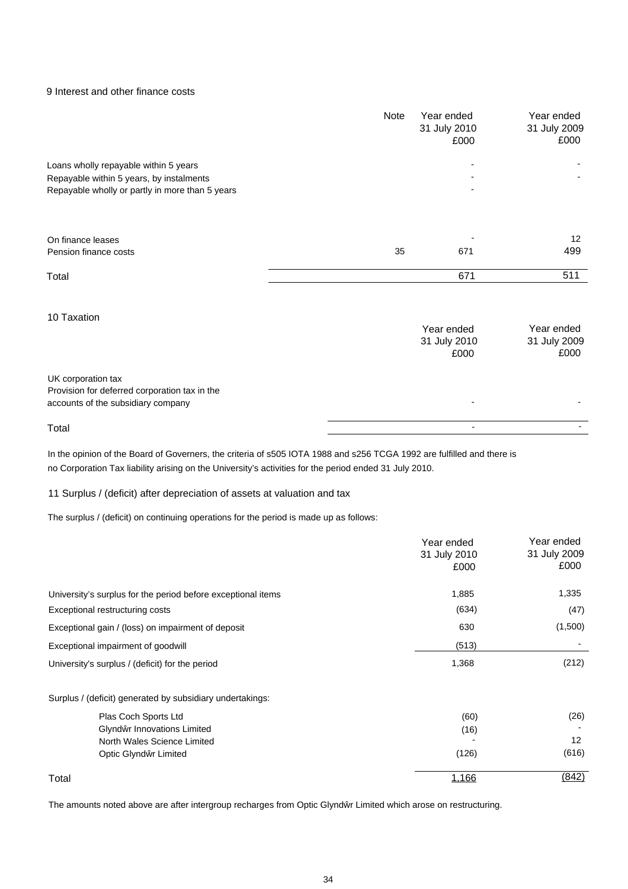9 Interest and other finance costs

|                                                                                                                                      | Note | Year ended<br>31 July 2010<br>£000 | Year ended<br>31 July 2009<br>£000 |
|--------------------------------------------------------------------------------------------------------------------------------------|------|------------------------------------|------------------------------------|
| Loans wholly repayable within 5 years<br>Repayable within 5 years, by instalments<br>Repayable wholly or partly in more than 5 years |      |                                    |                                    |
| On finance leases<br>Pension finance costs                                                                                           | 35   | 671                                | 12<br>499                          |
| Total                                                                                                                                |      | 671                                | 511                                |
| 10 Taxation                                                                                                                          |      | Year ended<br>31 July 2010<br>£000 | Year ended<br>31 July 2009<br>£000 |
| UK corporation tax<br>Provision for deferred corporation tax in the<br>accounts of the subsidiary company                            |      |                                    |                                    |
| Total                                                                                                                                |      |                                    |                                    |

In the opinion of the Board of Governers, the criteria of s505 IOTA 1988 and s256 TCGA 1992 are fulfilled and there is no Corporation Tax liability arising on the University's activities for the period ended 31 July 2010.

11 Surplus / (deficit) after depreciation of assets at valuation and tax

The surplus / (deficit) on continuing operations for the period is made up as follows:

|                                                              | Year ended<br>31 July 2010<br>£000 | Year ended<br>31 July 2009<br>£000 |
|--------------------------------------------------------------|------------------------------------|------------------------------------|
| University's surplus for the period before exceptional items | 1,885                              | 1,335                              |
| Exceptional restructuring costs                              | (634)                              | (47)                               |
| Exceptional gain / (loss) on impairment of deposit           | 630                                | (1,500)                            |
| Exceptional impairment of goodwill                           | (513)                              |                                    |
| University's surplus / (deficit) for the period              | 1,368                              | (212)                              |
| Surplus / (deficit) generated by subsidiary undertakings:    |                                    |                                    |
| Plas Coch Sports Ltd                                         | (60)                               | (26)                               |
| Glynd r Innovations Limited                                  | (16)                               |                                    |
| North Wales Science Limited                                  |                                    | 12                                 |
| Optic Glynd r Limited                                        | (126)                              | (616)                              |
| Total                                                        | 1.166                              | <u>(842)</u>                       |

The amounts noted above are after intergroup recharges from Optic Glynd r Limited which arose on restructuring.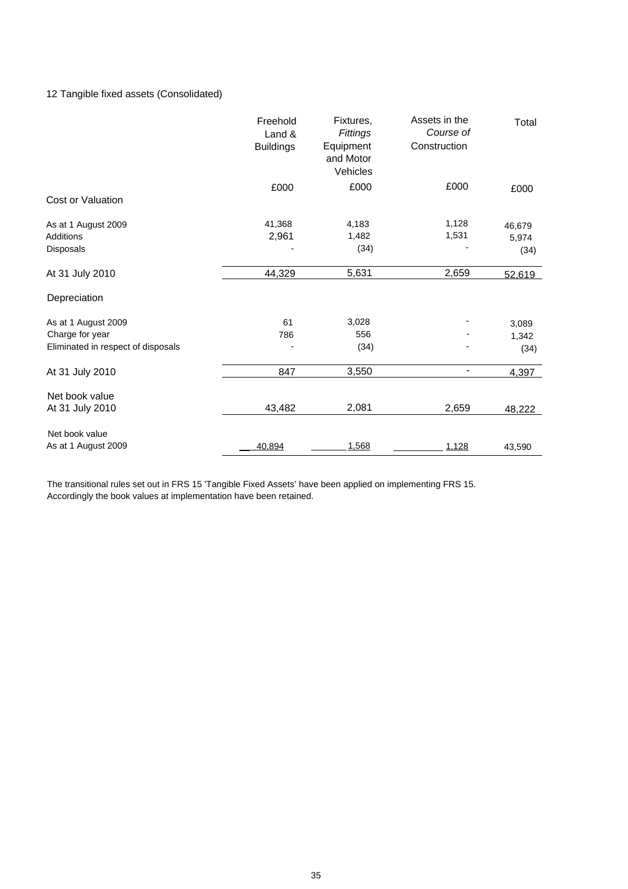## 12 Tangible fixed assets (Consolidated)

|                                    | Freehold<br>Land &<br><b>Buildings</b> | Fixtures,<br>Fittings<br>Equipment<br>and Motor<br>Vehicles | Assets in the<br>Course of<br>Construction | Total  |
|------------------------------------|----------------------------------------|-------------------------------------------------------------|--------------------------------------------|--------|
|                                    | £000                                   | £000                                                        | £000                                       | £000   |
| Cost or Valuation                  |                                        |                                                             |                                            |        |
| As at 1 August 2009                | 41,368                                 | 4,183                                                       | 1,128                                      | 46,679 |
| <b>Additions</b>                   | 2,961                                  | 1,482                                                       | 1,531                                      | 5,974  |
| Disposals                          |                                        | (34)                                                        |                                            | (34)   |
| At 31 July 2010                    | 44,329                                 | 5,631                                                       | 2,659                                      | 52,619 |
| Depreciation                       |                                        |                                                             |                                            |        |
| As at 1 August 2009                | 61                                     | 3,028                                                       |                                            | 3,089  |
| Charge for year                    | 786                                    | 556                                                         |                                            | 1,342  |
| Eliminated in respect of disposals |                                        | (34)                                                        |                                            | (34)   |
| At 31 July 2010                    | 847                                    | 3,550                                                       | $\overline{\phantom{a}}$                   | 4,397  |
| Net book value                     |                                        |                                                             |                                            |        |
| At 31 July 2010                    | 43,482                                 | 2,081                                                       | 2,659                                      | 48,222 |
| Net book value                     |                                        |                                                             |                                            |        |
| As at 1 August 2009                | 40,894                                 | 1,568                                                       | 1,128                                      | 43,590 |

The transitional rules set out in FRS 15 'Tangible Fixed Assets' have been applied on implementing FRS 15. Accordingly the book values at implementation have been retained.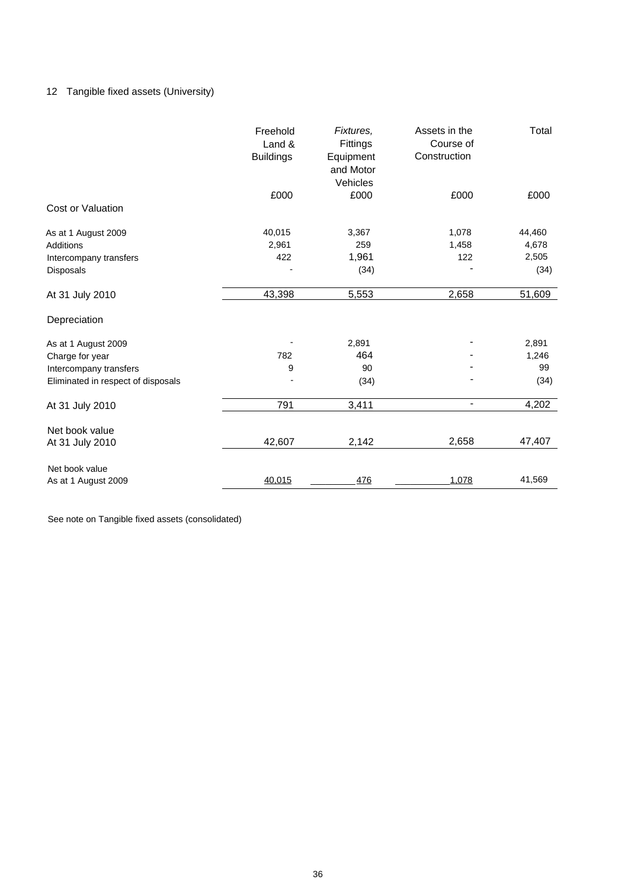## 12 Tangible fixed assets (University)

|                                    | Freehold<br>Land &<br><b>Buildings</b> | Fixtures,<br>Fittings<br>Equipment<br>and Motor<br>Vehicles | Assets in the<br>Course of<br>Construction | Total  |
|------------------------------------|----------------------------------------|-------------------------------------------------------------|--------------------------------------------|--------|
|                                    | £000                                   | £000                                                        | £000                                       | £000   |
| Cost or Valuation                  |                                        |                                                             |                                            |        |
| As at 1 August 2009                | 40,015                                 | 3,367                                                       | 1,078                                      | 44,460 |
| <b>Additions</b>                   | 2,961                                  | 259                                                         | 1,458                                      | 4,678  |
| Intercompany transfers             | 422                                    | 1,961                                                       | 122                                        | 2,505  |
| Disposals                          |                                        | (34)                                                        |                                            | (34)   |
| At 31 July 2010                    | 43,398                                 | 5,553                                                       | 2,658                                      | 51,609 |
| Depreciation                       |                                        |                                                             |                                            |        |
| As at 1 August 2009                |                                        | 2,891                                                       |                                            | 2,891  |
| Charge for year                    | 782                                    | 464                                                         |                                            | 1,246  |
| Intercompany transfers             | 9                                      | 90                                                          |                                            | 99     |
| Eliminated in respect of disposals |                                        | (34)                                                        |                                            | (34)   |
| At 31 July 2010                    | 791                                    | 3,411                                                       | $\overline{\phantom{a}}$                   | 4,202  |
| Net book value                     |                                        |                                                             |                                            |        |
| At 31 July 2010                    | 42,607                                 | 2,142                                                       | 2,658                                      | 47,407 |
| Net book value                     |                                        |                                                             |                                            |        |
| As at 1 August 2009                | 40,015                                 | 476                                                         | 1,078                                      | 41,569 |

See note on Tangible fixed assets (consolidated)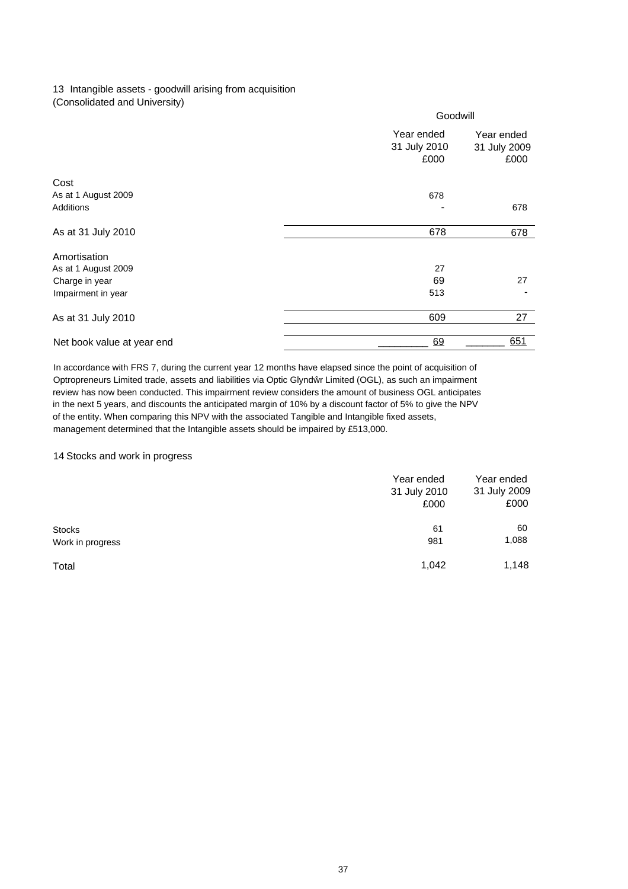### 13 Intangible assets - goodwill arising from acquisition (Consolidated and University)

|                            | Goodwill                           |                                    |
|----------------------------|------------------------------------|------------------------------------|
|                            | Year ended<br>31 July 2010<br>£000 | Year ended<br>31 July 2009<br>£000 |
| Cost                       |                                    |                                    |
| As at 1 August 2009        | 678                                |                                    |
| Additions                  |                                    | 678                                |
| As at 31 July 2010         | 678                                | 678                                |
| Amortisation               |                                    |                                    |
| As at 1 August 2009        | 27                                 |                                    |
| Charge in year             | 69                                 | 27                                 |
| Impairment in year         | 513                                |                                    |
| As at 31 July 2010         | 609                                | 27                                 |
| Net book value at year end | 69                                 | 651                                |

In accordance with FRS 7, during the current year 12 months have elapsed since the point of acquisition of Optropreneurs Limited trade, assets and liabilities via Optic Glynd r Limited (OGL), as such an impairment review has now been conducted. This impairment review considers the amount of business OGL anticipates in the next 5 years, and discounts the anticipated margin of 10% by a discount factor of 5% to give the NPV of the entity. When comparing this NPV with the associated Tangible and Intangible fixed assets, management determined that the Intangible assets should be impaired by £513,000.

#### 14 Stocks and work in progress

|                  | Year ended<br>31 July 2010<br>£000 | Year ended<br>31 July 2009<br>£000 |
|------------------|------------------------------------|------------------------------------|
| <b>Stocks</b>    | 61                                 | 60                                 |
| Work in progress | 981                                | 1,088                              |
| Total            | 1,042                              | 1,148                              |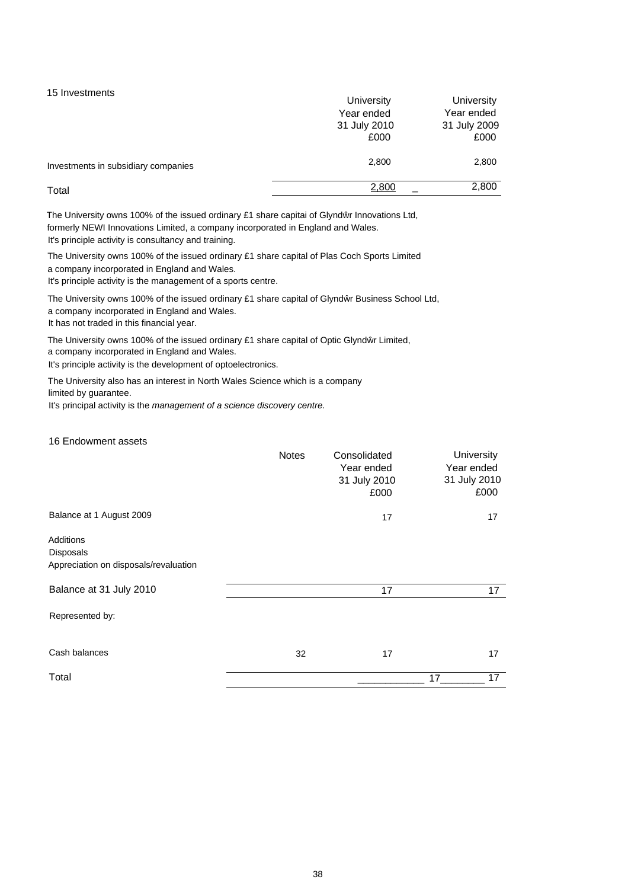15 Investments

|                                     | University   | University   |
|-------------------------------------|--------------|--------------|
|                                     | Year ended   | Year ended   |
|                                     | 31 July 2010 | 31 July 2009 |
|                                     | £000         | £000         |
| Investments in subsidiary companies | 2,800        | 2,800        |
| Total                               | 2,800        | 2,800        |

The University owns 100% of the issued ordinary £1 share capitai of Glynd r Innovations Ltd, formerly NEWI Innovations Limited, a company incorporated in England and Wales. It's principle activity is consultancy and training.

The University owns 100% of the issued ordinary £1 share capital of Plas Coch Sports Limited a company incorporated in England and Wales.

It's principle activity is the management of a sports centre.

The University owns 100% of the issued ordinary £1 share capital of Glynd r Business School Ltd, a company incorporated in England and Wales. It has not traded in this financial year.

The University owns 100% of the issued ordinary £1 share capital of Optic Glynd r Limited, a company incorporated in England and Wales.

It's principle activity is the development of optoelectronics.

The University also has an interest in North Wales Science which is a company limited by guarantee.

It's principal activity is the *management of a science discovery centre.*

16 Endowment assets

| Balance at 1 August 2009<br>17<br>17<br><b>Additions</b><br>Disposals<br>Appreciation on disposals/revaluation<br>Balance at 31 July 2010<br>17<br>17<br>Represented by:<br>Cash balances<br>17<br>17<br>32<br>Total<br>17<br>17 | <b>Notes</b> | Consolidated<br>Year ended<br>31 July 2010<br>£000 | University<br>Year ended<br>31 July 2010<br>£000 |
|----------------------------------------------------------------------------------------------------------------------------------------------------------------------------------------------------------------------------------|--------------|----------------------------------------------------|--------------------------------------------------|
|                                                                                                                                                                                                                                  |              |                                                    |                                                  |
|                                                                                                                                                                                                                                  |              |                                                    |                                                  |
|                                                                                                                                                                                                                                  |              |                                                    |                                                  |
|                                                                                                                                                                                                                                  |              |                                                    |                                                  |
|                                                                                                                                                                                                                                  |              |                                                    |                                                  |
|                                                                                                                                                                                                                                  |              |                                                    |                                                  |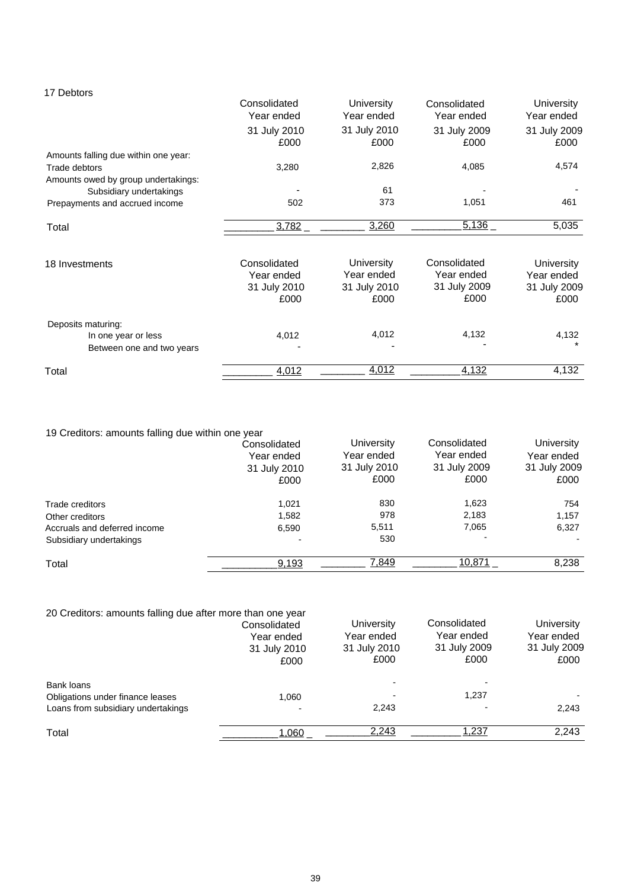## 17 Debtors

|                                      | Consolidated<br>Year ended | University<br>Year ended | Consolidated<br>Year ended | University<br>Year ended |
|--------------------------------------|----------------------------|--------------------------|----------------------------|--------------------------|
|                                      | 31 July 2010<br>£000       | 31 July 2010<br>£000     | 31 July 2009<br>£000       | 31 July 2009<br>£000     |
| Amounts falling due within one year: |                            |                          |                            |                          |
| Trade debtors                        | 3,280                      | 2,826                    | 4,085                      | 4,574                    |
| Amounts owed by group undertakings:  |                            |                          |                            |                          |
| Subsidiary undertakings              |                            | 61                       |                            |                          |
| Prepayments and accrued income       | 502                        | 373                      | 1,051                      | 461                      |
| Total                                | 3,782                      | 3,260                    | 5,136                      | 5,035                    |
| 18 Investments                       | Consolidated               | <b>University</b>        | Consolidated               | University               |
|                                      | Year ended                 | Year ended               | Year ended                 | Year ended               |
|                                      | 31 July 2010               | 31 July 2010             | 31 July 2009               | 31 July 2009             |
|                                      | £000                       | £000                     | £000                       | £000                     |
| Deposits maturing:                   |                            |                          |                            |                          |
| In one year or less                  | 4,012                      | 4,012                    | 4,132                      | 4,132                    |
| Between one and two years            |                            |                          |                            |                          |
| Total                                | 4,012                      | <u>4.012</u>             | 4,132                      | 4,132                    |
|                                      |                            |                          |                            |                          |

| 19 Creditors: amounts falling due within one year |                                                    |                                                  |                                                    |                                                  |
|---------------------------------------------------|----------------------------------------------------|--------------------------------------------------|----------------------------------------------------|--------------------------------------------------|
|                                                   | Consolidated<br>Year ended<br>31 July 2010<br>£000 | University<br>Year ended<br>31 July 2010<br>£000 | Consolidated<br>Year ended<br>31 July 2009<br>£000 | University<br>Year ended<br>31 July 2009<br>£000 |
| Trade creditors                                   | 1.021                                              | 830                                              | 1,623                                              | 754                                              |
| Other creditors                                   | 1.582                                              | 978                                              | 2,183                                              | 1,157                                            |
| Accruals and deferred income                      | 6,590                                              | 5,511                                            | 7,065                                              | 6,327                                            |
| Subsidiary undertakings                           |                                                    | 530                                              |                                                    |                                                  |
| Total                                             | 9,193                                              | <u>7,849</u>                                     | 10,871                                             | 8,238                                            |

| 20 Creditors: amounts falling due after more than one year |              |              |              |              |
|------------------------------------------------------------|--------------|--------------|--------------|--------------|
|                                                            | Consolidated | University   | Consolidated | University   |
|                                                            | Year ended   | Year ended   | Year ended   | Year ended   |
|                                                            | 31 July 2010 | 31 July 2010 | 31 July 2009 | 31 July 2009 |
|                                                            | £000         | £000         | £000         | £000         |
| Bank loans                                                 |              |              |              |              |
| Obligations under finance leases                           | 1.060        |              | 1,237        |              |
| Loans from subsidiary undertakings                         |              | 2,243        |              | 2,243        |
| Total                                                      | 1,060        | 2,243        | 1,237        | 2,243        |
|                                                            |              |              |              |              |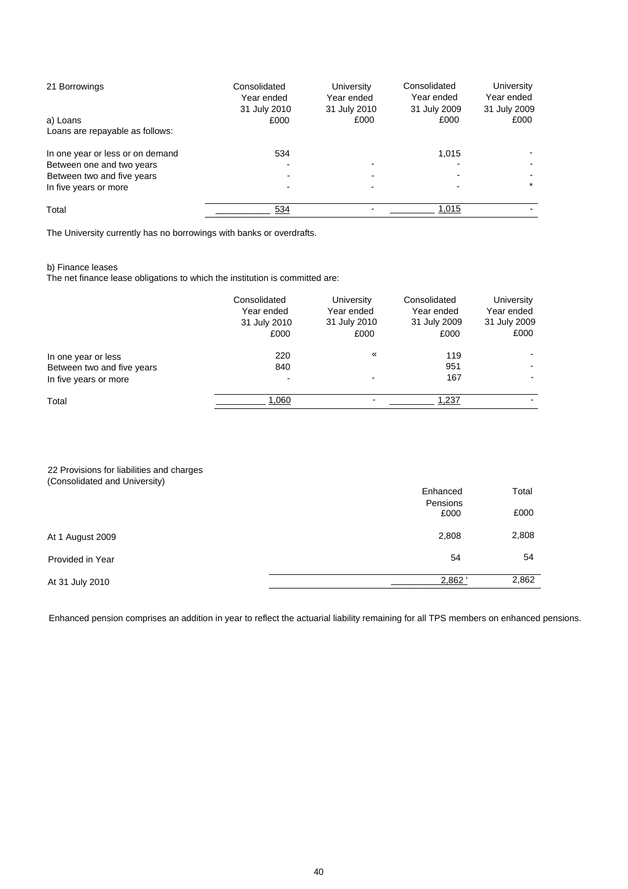| 21 Borrowings                    | Consolidated<br>Year ended<br>31 July 2010 | University<br>Year ended<br>31 July 2010 | Consolidated<br>Year ended<br>31 July 2009 | University<br>Year ended<br>31 July 2009 |
|----------------------------------|--------------------------------------------|------------------------------------------|--------------------------------------------|------------------------------------------|
| a) Loans                         | £000                                       | £000                                     | £000                                       | £000                                     |
| Loans are repayable as follows:  |                                            |                                          |                                            |                                          |
| In one year or less or on demand | 534                                        |                                          | 1.015                                      |                                          |
| Between one and two years        |                                            |                                          |                                            |                                          |
| Between two and five years       |                                            |                                          |                                            |                                          |
| In five years or more            |                                            |                                          |                                            | $\star$                                  |
| Total                            | 534                                        |                                          | 1,015                                      |                                          |

The University currently has no borrowings with banks or overdrafts.

#### b) Finance leases

The net finance lease obligations to which the institution is committed are:

|                            | Consolidated<br>Year ended<br>31 July 2010<br>£000 | University<br>Year ended<br>31 July 2010<br>£000 | Consolidated<br>Year ended<br>31 July 2009<br>£000 | <b>University</b><br>Year ended<br>31 July 2009<br>£000 |
|----------------------------|----------------------------------------------------|--------------------------------------------------|----------------------------------------------------|---------------------------------------------------------|
| In one year or less        | 220                                                | «                                                | 119                                                |                                                         |
| Between two and five years | 840                                                |                                                  | 951                                                |                                                         |
| In five years or more      |                                                    |                                                  | 167                                                |                                                         |
| Total                      | 1,060                                              |                                                  | 1,237                                              |                                                         |

#### 22 Provisions for liabilities and charges (Consolidated and University)

|                  | Enhanced<br>Pensions | Total |
|------------------|----------------------|-------|
|                  | £000                 | £000  |
| At 1 August 2009 | 2,808                | 2,808 |
| Provided in Year | 54                   | 54    |
| At 31 July 2010  | 2,862                | 2,862 |

Enhanced pension comprises an addition in year to reflect the actuarial liability remaining for all TPS members on enhanced pensions.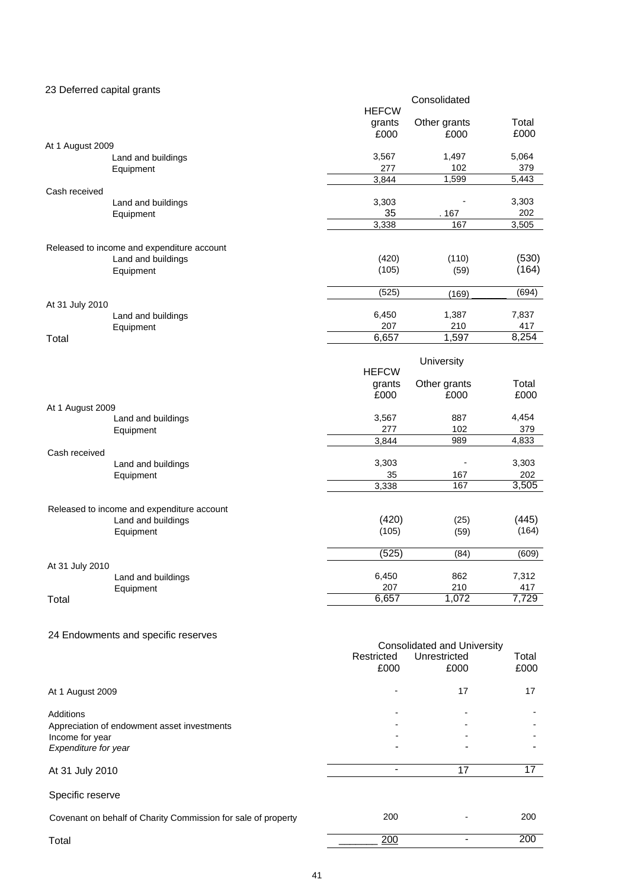| 23 Deferred capital grants |                                                                  |                |                                    |       |
|----------------------------|------------------------------------------------------------------|----------------|------------------------------------|-------|
|                            |                                                                  | <b>HEFCW</b>   | Consolidated                       |       |
|                            |                                                                  |                | Other grants                       | Total |
|                            |                                                                  | grants<br>£000 | £000                               | £000  |
| At 1 August 2009           |                                                                  |                |                                    |       |
|                            | Land and buildings                                               | 3,567          | 1,497                              | 5,064 |
|                            | Equipment                                                        | 277            | 102                                | 379   |
|                            |                                                                  | 3,844          | 1,599                              | 5,443 |
| Cash received              |                                                                  |                |                                    |       |
|                            | Land and buildings                                               | 3,303          |                                    | 3,303 |
|                            | Equipment                                                        | 35             | . 167                              | 202   |
|                            |                                                                  | 3,338          | 167                                | 3,505 |
|                            |                                                                  |                |                                    |       |
|                            | Released to income and expenditure account                       |                |                                    |       |
|                            | Land and buildings                                               | (420)          | (110)                              | (530) |
|                            | Equipment                                                        | (105)          | (59)                               | (164) |
|                            |                                                                  |                |                                    |       |
|                            |                                                                  | (525)          | (169)                              | (694) |
| At 31 July 2010            |                                                                  | 6,450          | 1,387                              | 7,837 |
|                            | Land and buildings<br>Equipment                                  | 207            | 210                                | 417   |
| Total                      |                                                                  | 6,657          | 1,597                              | 8,254 |
|                            |                                                                  |                |                                    |       |
|                            |                                                                  |                | University                         |       |
|                            |                                                                  | <b>HEFCW</b>   |                                    |       |
|                            |                                                                  | grants         | Other grants                       | Total |
|                            |                                                                  | £000           | £000                               | £000  |
| At 1 August 2009           |                                                                  |                |                                    |       |
|                            | Land and buildings                                               | 3,567          | 887                                | 4,454 |
|                            | Equipment                                                        | 277            | 102                                | 379   |
|                            |                                                                  | 3,844          | 989                                | 4,833 |
| Cash received              |                                                                  |                |                                    |       |
|                            | Land and buildings                                               | 3,303          | $\overline{\phantom{a}}$           | 3,303 |
|                            | Equipment                                                        | 35             | 167                                | 202   |
|                            |                                                                  | 3,338          | 167                                | 3,505 |
|                            |                                                                  |                |                                    |       |
|                            | Released to income and expenditure account<br>Land and buildings | (420)          | (25)                               | (445) |
|                            | Equipment                                                        | (105)          | (59)                               | (164) |
|                            |                                                                  |                |                                    |       |
|                            |                                                                  | (525)          | (84)                               | (609) |
| At 31 July 2010            |                                                                  |                |                                    |       |
|                            | Land and buildings                                               | 6,450          | 862                                | 7,312 |
|                            | Equipment                                                        | 207            | 210                                | 417   |
| Total                      |                                                                  | 6,657          | 1,072                              | 7,729 |
|                            |                                                                  |                |                                    |       |
|                            |                                                                  |                |                                    |       |
|                            | 24 Endowments and specific reserves                              |                |                                    |       |
|                            |                                                                  |                | <b>Consolidated and University</b> |       |

|                                                               | Restricted<br>£000 | Unrestricted<br>£000 | Total<br>£000 |
|---------------------------------------------------------------|--------------------|----------------------|---------------|
| At 1 August 2009                                              |                    | 17                   | 17            |
| <b>Additions</b>                                              |                    |                      |               |
| Appreciation of endowment asset investments                   |                    |                      |               |
| Income for year                                               |                    |                      |               |
| Expenditure for year                                          |                    |                      |               |
| At 31 July 2010                                               |                    | 17                   | 17            |
| Specific reserve                                              |                    |                      |               |
| Covenant on behalf of Charity Commission for sale of property | 200                |                      | 200           |
| Total                                                         | 200                |                      | 200           |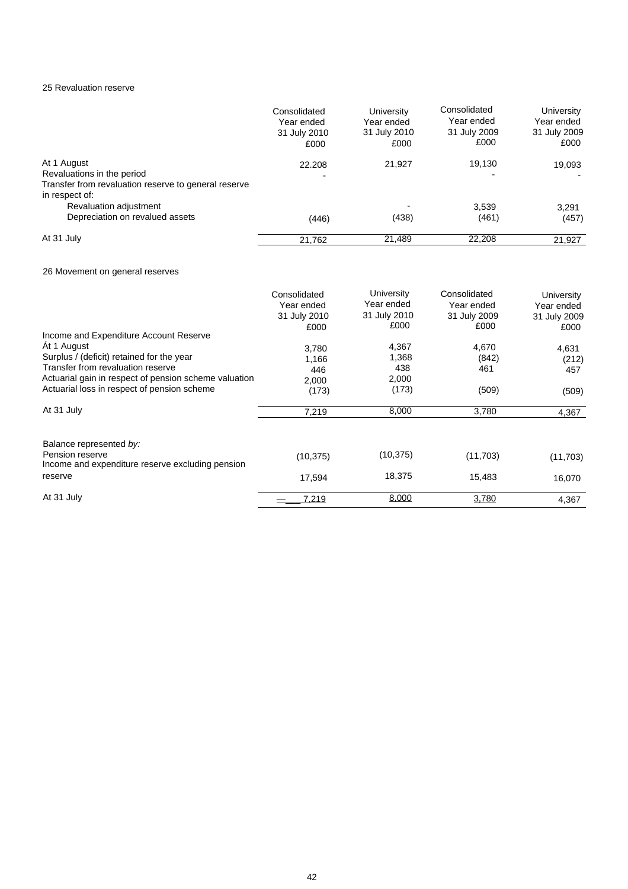## 25 Revaluation reserve

|                                                                                                                     | Consolidated<br>Year ended<br>31 July 2010<br>£000 | University<br>Year ended<br>31 July 2010<br>£000 | Consolidated<br>Year ended<br>31 July 2009<br>£000 | University<br>Year ended<br>31 July 2009<br>£000 |
|---------------------------------------------------------------------------------------------------------------------|----------------------------------------------------|--------------------------------------------------|----------------------------------------------------|--------------------------------------------------|
| At 1 August<br>Revaluations in the period<br>Transfer from revaluation reserve to general reserve<br>in respect of: | 22.208                                             | 21,927                                           | 19,130                                             | 19,093                                           |
| Revaluation adjustment<br>Depreciation on revalued assets                                                           | (446)                                              | (438)                                            | 3,539<br>(461)                                     | 3.291<br>(457)                                   |
| At 31 July                                                                                                          | 21,762                                             | 21,489                                           | 22,208                                             | 21,927                                           |

### 26 Movement on general reserves

|                                                                     | Consolidated<br>Year ended<br>31 July 2010<br>£000 | University<br>Year ended<br>31 July 2010<br>£000 | Consolidated<br>Year ended<br>31 July 2009<br>£000 | <b>University</b><br>Year ended<br>31 July 2009<br>£000 |
|---------------------------------------------------------------------|----------------------------------------------------|--------------------------------------------------|----------------------------------------------------|---------------------------------------------------------|
| Income and Expenditure Account Reserve                              |                                                    |                                                  |                                                    |                                                         |
| At 1 August                                                         | 3,780                                              | 4,367                                            | 4,670                                              | 4,631                                                   |
| Surplus / (deficit) retained for the year                           | 1,166                                              | 1,368                                            | (842)                                              | (212)                                                   |
| Transfer from revaluation reserve                                   | 446                                                | 438                                              | 461                                                | 457                                                     |
| Actuarial gain in respect of pension scheme valuation               | 2.000                                              | 2,000                                            |                                                    |                                                         |
| Actuarial loss in respect of pension scheme                         | (173)                                              | (173)                                            | (509)                                              | (509)                                                   |
| At 31 July                                                          | 7,219                                              | 8,000                                            | 3,780                                              | 4,367                                                   |
| Balance represented by:                                             |                                                    |                                                  |                                                    |                                                         |
| Pension reserve<br>Income and expenditure reserve excluding pension | (10, 375)                                          | (10, 375)                                        | (11,703)                                           | (11,703)                                                |
| reserve                                                             | 17.594                                             | 18,375                                           | 15,483                                             | 16,070                                                  |
| At 31 July                                                          | 7,219                                              | 8,000                                            | 3,780                                              | 4,367                                                   |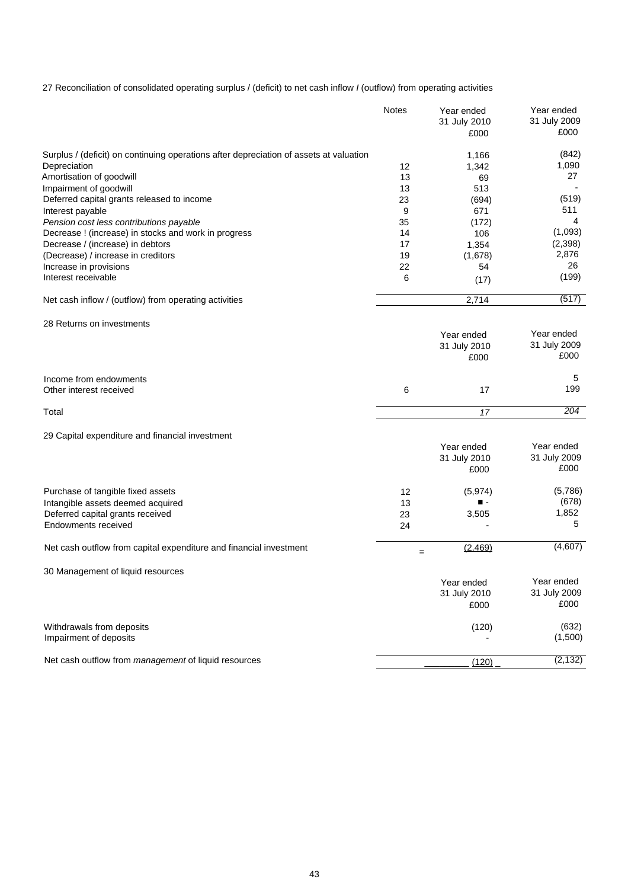27 Reconciliation of consolidated operating surplus / (deficit) to net cash inflow *I* (outflow) from operating activities

|                                                                                        | <b>Notes</b> | Year ended<br>31 July 2010<br>£000 | Year ended<br>31 July 2009<br>£000 |
|----------------------------------------------------------------------------------------|--------------|------------------------------------|------------------------------------|
| Surplus / (deficit) on continuing operations after depreciation of assets at valuation |              | 1,166                              | (842)                              |
| Depreciation                                                                           | 12           | 1,342                              | 1,090                              |
| Amortisation of goodwill                                                               | 13           | 69                                 | 27                                 |
| Impairment of goodwill                                                                 | 13           | 513                                |                                    |
| Deferred capital grants released to income                                             | 23           | (694)                              | (519)                              |
| Interest payable                                                                       | 9            | 671                                | 511                                |
| Pension cost less contributions payable                                                | 35           | (172)                              | 4                                  |
| Decrease ! (increase) in stocks and work in progress                                   | 14           | 106                                | (1,093)                            |
| Decrease / (increase) in debtors                                                       | 17           | 1,354                              | (2,398)<br>2,876                   |
| (Decrease) / increase in creditors<br>Increase in provisions                           | 19<br>22     | (1,678)<br>54                      | 26                                 |
| Interest receivable                                                                    | 6            | (17)                               | (199)                              |
|                                                                                        |              |                                    |                                    |
| Net cash inflow / (outflow) from operating activities                                  |              | 2,714                              | (517)                              |
| 28 Returns on investments                                                              |              |                                    |                                    |
|                                                                                        |              | Year ended                         | Year ended                         |
|                                                                                        |              | 31 July 2010                       | 31 July 2009                       |
|                                                                                        |              | £000                               | £000                               |
| Income from endowments                                                                 |              |                                    | 5                                  |
| Other interest received                                                                | 6            | 17                                 | 199                                |
| Total                                                                                  |              | 17                                 | 204                                |
|                                                                                        |              |                                    |                                    |
| 29 Capital expenditure and financial investment                                        |              |                                    |                                    |
|                                                                                        |              | Year ended                         | Year ended                         |
|                                                                                        |              | 31 July 2010                       | 31 July 2009<br>£000               |
|                                                                                        |              | £000                               |                                    |
| Purchase of tangible fixed assets                                                      | 12           | (5, 974)                           | (5,786)                            |
| Intangible assets deemed acquired                                                      | 13           |                                    | (678)                              |
| Deferred capital grants received                                                       | 23           | 3,505                              | 1,852                              |
| <b>Endowments received</b>                                                             | 24           |                                    | 5                                  |
| Net cash outflow from capital expenditure and financial investment                     | $=$          | (2,469)                            | (4,607)                            |
|                                                                                        |              |                                    |                                    |
| 30 Management of liquid resources                                                      |              |                                    |                                    |
|                                                                                        |              | Year ended                         | Year ended                         |
|                                                                                        |              | 31 July 2010                       | 31 July 2009<br>£000               |
|                                                                                        |              | £000                               |                                    |
| Withdrawals from deposits                                                              |              | (120)                              | (632)                              |
| Impairment of deposits                                                                 |              |                                    | (1,500)                            |
| Net cash outflow from management of liquid resources                                   |              | (120)                              | (2, 132)                           |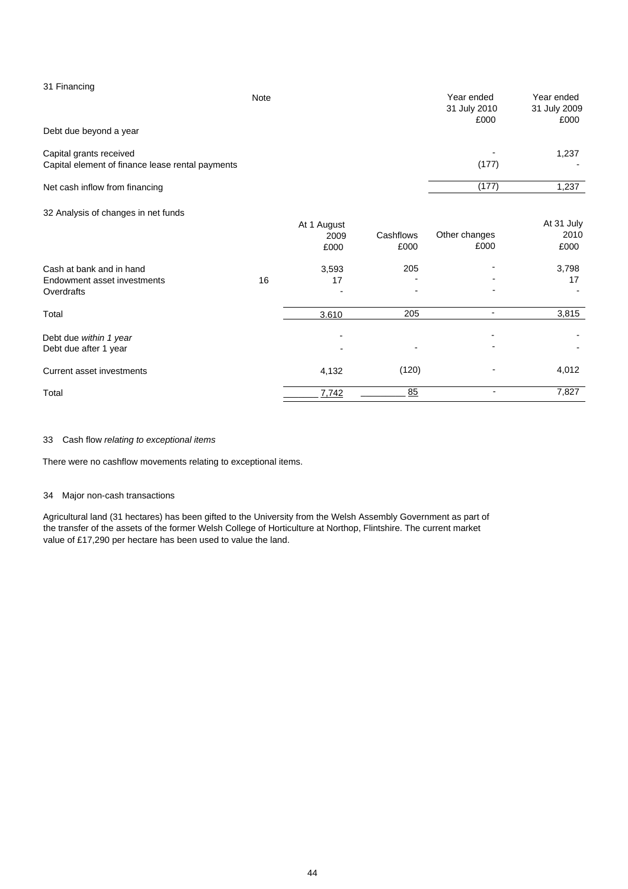| 31 Financing                                     |      |             |           |               |              |
|--------------------------------------------------|------|-------------|-----------|---------------|--------------|
|                                                  | Note |             |           | Year ended    | Year ended   |
|                                                  |      |             |           | 31 July 2010  | 31 July 2009 |
| Debt due beyond a year                           |      |             |           | £000          | £000         |
|                                                  |      |             |           |               |              |
| Capital grants received                          |      |             |           |               | 1,237        |
| Capital element of finance lease rental payments |      |             |           | (177)         |              |
| Net cash inflow from financing                   |      |             |           | (177)         | 1,237        |
| 32 Analysis of changes in net funds              |      |             |           |               |              |
|                                                  |      | At 1 August |           |               | At 31 July   |
|                                                  |      | 2009        | Cashflows | Other changes | 2010         |
|                                                  |      | £000        | £000      | £000          | £000         |
| Cash at bank and in hand                         |      | 3,593       | 205       |               | 3,798        |
| Endowment asset investments                      | 16   | 17          |           |               | 17           |
| Overdrafts                                       |      |             |           |               |              |
| Total                                            |      | 3.610       | 205       | ٠             | 3,815        |
| Debt due within 1 year                           |      |             |           |               |              |
| Debt due after 1 year                            |      |             |           |               |              |

Current asset investments 4,132 (120)  $\qquad \qquad 4,012$ 

Total \_\_\_\_\_\_\_ 7,742 \_\_\_\_\_\_\_\_\_ 85 - 7,827

### 33 Cash flow *relating to exceptional items*

There were no cashflow movements relating to exceptional items.

### 34 Major non-cash transactions

Agricultural land (31 hectares) has been gifted to the University from the Welsh Assembly Government as part of the transfer of the assets of the former Welsh College of Horticulture at Northop, Flintshire. The current market value of £17,290 per hectare has been used to value the land.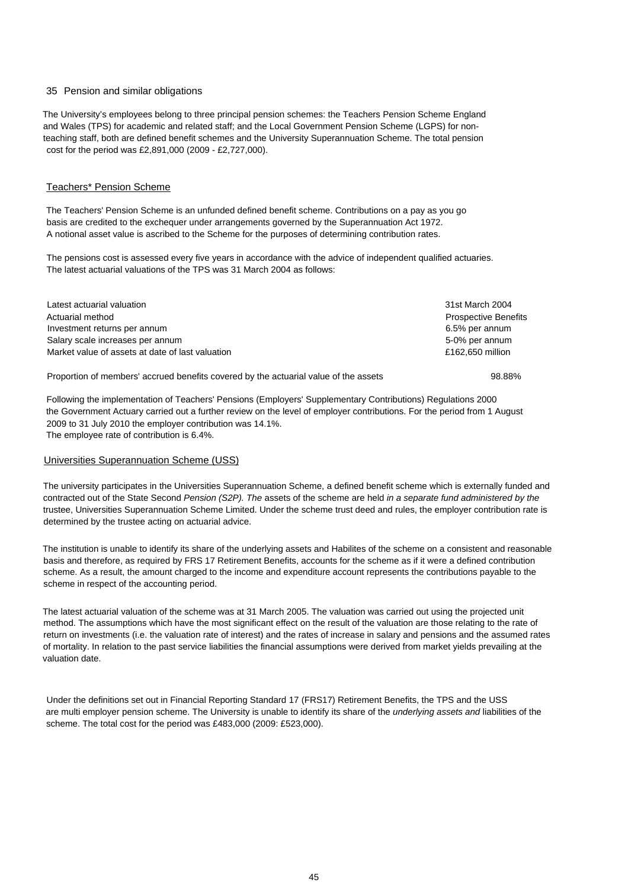#### 35 Pension and similar obligations

The University's employees belong to three principal pension schemes: the Teachers Pension Scheme England and Wales (TPS) for academic and related staff; and the Local Government Pension Scheme (LGPS) for nonteaching staff, both are defined benefit schemes and the University Superannuation Scheme. The total pension cost for the period was £2,891,000 (2009 - £2,727,000).

### Teachers\* Pension Scheme

The Teachers' Pension Scheme is an unfunded defined benefit scheme. Contributions on a pay as you go basis are credited to the exchequer under arrangements governed by the Superannuation Act 1972. A notional asset value is ascribed to the Scheme for the purposes of determining contribution rates.

The pensions cost is assessed every five years in accordance with the advice of independent qualified actuaries. The latest actuarial valuations of the TPS was 31 March 2004 as follows:

| Latest actuarial valuation                       | 31st March 2004             |
|--------------------------------------------------|-----------------------------|
| Actuarial method                                 | <b>Prospective Benefits</b> |
| Investment returns per annum                     | 6.5% per annum              |
| Salary scale increases per annum                 | 5-0% per annum              |
| Market value of assets at date of last valuation | £162,650 million            |
|                                                  |                             |

Proportion of members' accrued benefits covered by the actuarial value of the assets 98.88%

Following the implementation of Teachers' Pensions (Employers' Supplementary Contributions) Regulations 2000 the Government Actuary carried out a further review on the level of employer contributions. For the period from 1 August 2009 to 31 July 2010 the employer contribution was 14.1%. The employee rate of contribution is 6.4%.

#### Universities Superannuation Scheme (USS)

The university participates in the Universities Superannuation Scheme, a defined benefit scheme which is externally funded and contracted out of the State Second *Pension (S2P). The* assets of the scheme are held *in a separate fund administered by the* trustee, Universities Superannuation Scheme Limited. Under the scheme trust deed and rules, the employer contribution rate is determined by the trustee acting on actuarial advice.

The institution is unable to identify its share of the underlying assets and Habilites of the scheme on a consistent and reasonable basis and therefore, as required by FRS 17 Retirement Benefits, accounts for the scheme as if it were a defined contribution scheme. As a result, the amount charged to the income and expenditure account represents the contributions payable to the scheme in respect of the accounting period.

The latest actuarial valuation of the scheme was at 31 March 2005. The valuation was carried out using the projected unit method. The assumptions which have the most significant effect on the result of the valuation are those relating to the rate of return on investments (i.e. the valuation rate of interest) and the rates of increase in salary and pensions and the assumed rates of mortality. In relation to the past service liabilities the financial assumptions were derived from market yields prevailing at the valuation date.

Under the definitions set out in Financial Reporting Standard 17 (FRS17) Retirement Benefits, the TPS and the USS are multi employer pension scheme. The University is unable to identify its share of the *underlying assets and* liabilities of the scheme. The total cost for the period was £483,000 (2009: £523,000).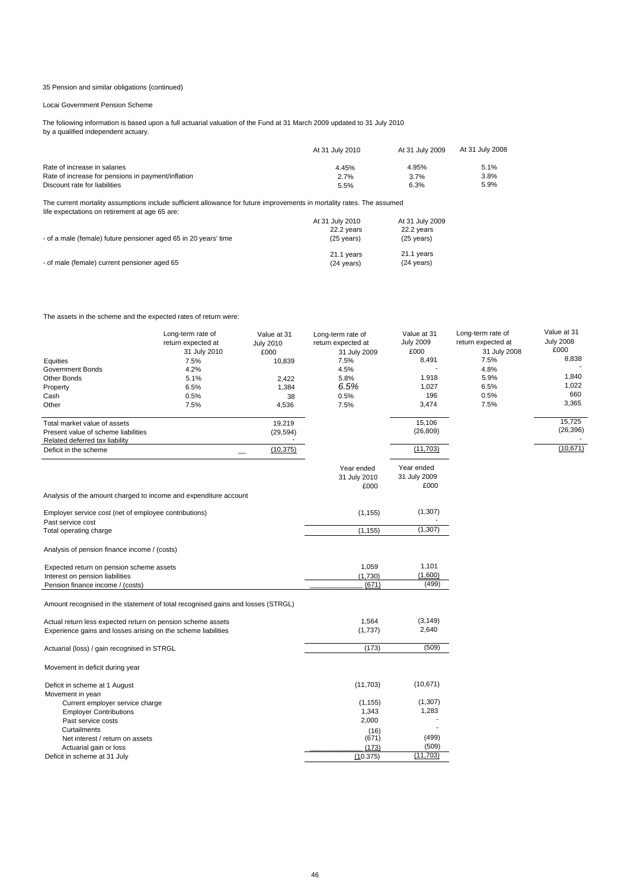### 35 Pension and similar obligations {continued)

Locai Government Pension Scheme

The foliowing information is based upon a full actuarial valuation of the Fund at 31 March 2009 updated to 31 July 2010 by a qualified independent actuary.

|                                                    | At 31 July 2010 | At 31 July 2009 | At 31 July 2008 |
|----------------------------------------------------|-----------------|-----------------|-----------------|
| Rate of increase in salaries                       | 4.45%           | 4.95%           | 5.1%            |
| Rate of increase for pensions in payment/inflation | 2.7%            | 3.7%            | 3.8%            |
| Discount rate for liabilities                      | 5.5%            | 6.3%            | 5.9%            |

The current mortality assumptions include sufficient allowance for future improvements in mortality rates. The assumed<br>Iife expectations on retirement at age 65 are:

| - of a male (female) future pensioner aged 65 in 20 years' time | At 31 July 2010<br>22.2 years<br>$(25 \text{ years})$ | At 31 July 2009<br>22.2 years<br>$(25 \text{ years})$ |
|-----------------------------------------------------------------|-------------------------------------------------------|-------------------------------------------------------|
| - of male (female) current pensioner aged 65                    | 21.1 years<br>$(24 \text{ years})$                    | 21.1 years<br>$(24 \text{ years})$                    |

The assets in the scheme and the expected rates of return were:

|                                                                                 | Long-term rate of  | Value at 31      | Long-term rate of  | Value at 31      | Long-term rate of  | Value at 31      |
|---------------------------------------------------------------------------------|--------------------|------------------|--------------------|------------------|--------------------|------------------|
|                                                                                 | return expected at | <b>July 2010</b> | return expected at | <b>July 2009</b> | return expected at | <b>July 2008</b> |
|                                                                                 | 31 July 2010       | £000             | 31 July 2009       | £000             | 31 July 2008       | £000             |
| Equities                                                                        | 7.5%               | 10,839           | 7.5%               | 8,491            | 7.5%               | 8,838            |
| <b>Government Bonds</b>                                                         | 4.2%               |                  | 4.5%               |                  | 4.8%               |                  |
| <b>Other Bonds</b>                                                              | 5.1%               | 2,422            | 5.8%               | 1.918            | 5.9%               | 1,840            |
| Property                                                                        | 6.5%               | 1,384            | 6.5%               | 1,027            | 6.5%               | 1,022            |
| Cash                                                                            | 0.5%               | 38               | 0.5%               | 196              | 0.5%               | 660              |
| Other                                                                           | 7.5%               | 4,536            | 7.5%               | 3,474            | 7.5%               | 3,365            |
| Total market value of assets                                                    |                    | 19,219           |                    | 15,106           |                    | 15,725           |
| Present value of scheme liabilities                                             |                    | (29, 594)        |                    | (26, 809)        |                    | (26, 396)        |
| Related deferred tax liability                                                  |                    |                  |                    |                  |                    |                  |
| Deficit in the scheme                                                           |                    | (10, 375)        |                    | (11, 703)        |                    | (10, 671)        |
|                                                                                 |                    |                  | Year ended         | Year ended       |                    |                  |
|                                                                                 |                    |                  | 31 July 2010       | 31 July 2009     |                    |                  |
|                                                                                 |                    |                  | £000               | £000             |                    |                  |
| Analysis of the amount charged to income and expenditure account                |                    |                  |                    |                  |                    |                  |
| Employer service cost (net of employee contributions)<br>Past service cost      |                    |                  | (1, 155)           | (1,307)          |                    |                  |
| Total operating charge                                                          |                    |                  | (1, 155)           | (1, 307)         |                    |                  |
|                                                                                 |                    |                  |                    |                  |                    |                  |
| Analysis of pension finance income / (costs)                                    |                    |                  |                    |                  |                    |                  |
| Expected return on pension scheme assets                                        |                    |                  | 1,059              | 1,101            |                    |                  |
| Interest on pension liabilities                                                 |                    |                  | (1,730)            | (1,600)          |                    |                  |
| Pension finance income / (costs)                                                |                    |                  | (671)              | (499)            |                    |                  |
|                                                                                 |                    |                  |                    |                  |                    |                  |
| Amount recognised in the statement of total recognised gains and losses (STRGL) |                    |                  |                    |                  |                    |                  |
| Actual return less expected return on pension scheme assets                     |                    |                  | 1,564              | (3, 149)         |                    |                  |
| Experience gains and losses arising on the scheme liabilities                   |                    |                  | (1,737)            | 2,640            |                    |                  |
|                                                                                 |                    |                  |                    |                  |                    |                  |
| Actuarial (loss) / gain recognised in STRGL                                     |                    |                  | (173)              | (509)            |                    |                  |
| Movement in deficit during year                                                 |                    |                  |                    |                  |                    |                  |
| Deficit in scheme at 1 August                                                   |                    |                  | (11,703)           | (10, 671)        |                    |                  |
| Movement in yean                                                                |                    |                  |                    |                  |                    |                  |
| Current employer service charge                                                 |                    |                  | (1, 155)           | (1,307)          |                    |                  |
| <b>Employer Contributions</b>                                                   |                    |                  | 1,343              | 1,283            |                    |                  |
| Past service costs                                                              |                    |                  | 2,000              |                  |                    |                  |
| Curtailments                                                                    |                    |                  | (16)               |                  |                    |                  |
| Net interest / return on assets                                                 |                    |                  | (671)              | (499)            |                    |                  |
| Actuarial gain or loss                                                          |                    |                  | (173)              | (509)            |                    |                  |
| Deficit in scheme at 31 July                                                    |                    |                  | (10.375)           | (11,703)         |                    |                  |
|                                                                                 |                    |                  |                    |                  |                    |                  |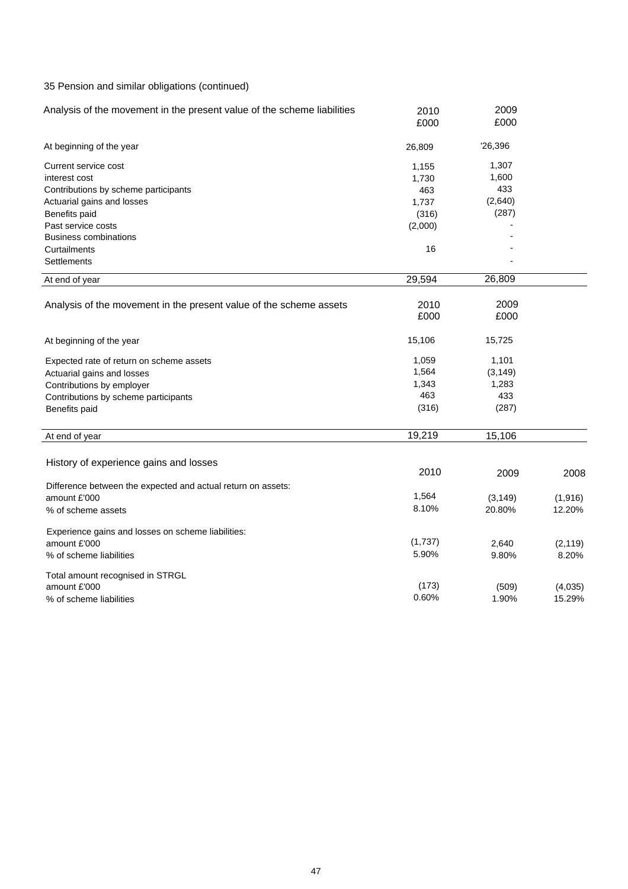## 35 Pension and similar obligations (continued)

| Analysis of the movement in the present value of the scheme liabilities | 2010    | 2009     |          |
|-------------------------------------------------------------------------|---------|----------|----------|
|                                                                         | £000    | £000     |          |
| At beginning of the year                                                | 26,809  | '26,396  |          |
| Current service cost                                                    | 1,155   | 1,307    |          |
| interest cost                                                           | 1,730   | 1,600    |          |
| Contributions by scheme participants                                    | 463     | 433      |          |
| Actuarial gains and losses                                              | 1,737   | (2,640)  |          |
| Benefits paid                                                           | (316)   | (287)    |          |
| Past service costs                                                      | (2,000) |          |          |
| <b>Business combinations</b>                                            |         |          |          |
| Curtailments                                                            | 16      |          |          |
| Settlements                                                             |         |          |          |
| At end of year                                                          | 29,594  | 26,809   |          |
|                                                                         |         |          |          |
| Analysis of the movement in the present value of the scheme assets      | 2010    | 2009     |          |
|                                                                         | £000    | £000     |          |
| At beginning of the year                                                | 15,106  | 15,725   |          |
| Expected rate of return on scheme assets                                | 1,059   | 1,101    |          |
| Actuarial gains and losses                                              | 1,564   | (3, 149) |          |
| Contributions by employer                                               | 1,343   | 1,283    |          |
| Contributions by scheme participants                                    | 463     | 433      |          |
| Benefits paid                                                           | (316)   | (287)    |          |
|                                                                         |         |          |          |
| At end of year                                                          | 19,219  | 15,106   |          |
|                                                                         |         |          |          |
| History of experience gains and losses                                  |         |          |          |
|                                                                         | 2010    | 2009     | 2008     |
| Difference between the expected and actual return on assets:            |         |          |          |
| amount £'000                                                            | 1,564   | (3, 149) | (1, 916) |
| % of scheme assets                                                      | 8.10%   | 20.80%   | 12.20%   |
| Experience gains and losses on scheme liabilities:                      |         |          |          |
| amount £'000                                                            | (1,737) | 2,640    | (2, 119) |
| % of scheme liabilities                                                 | 5.90%   | 9.80%    | 8.20%    |
| Total amount recognised in STRGL                                        |         |          |          |
| amount £'000                                                            | (173)   | (509)    | (4,035)  |
| % of scheme liabilities                                                 | 0.60%   | 1.90%    | 15.29%   |
|                                                                         |         |          |          |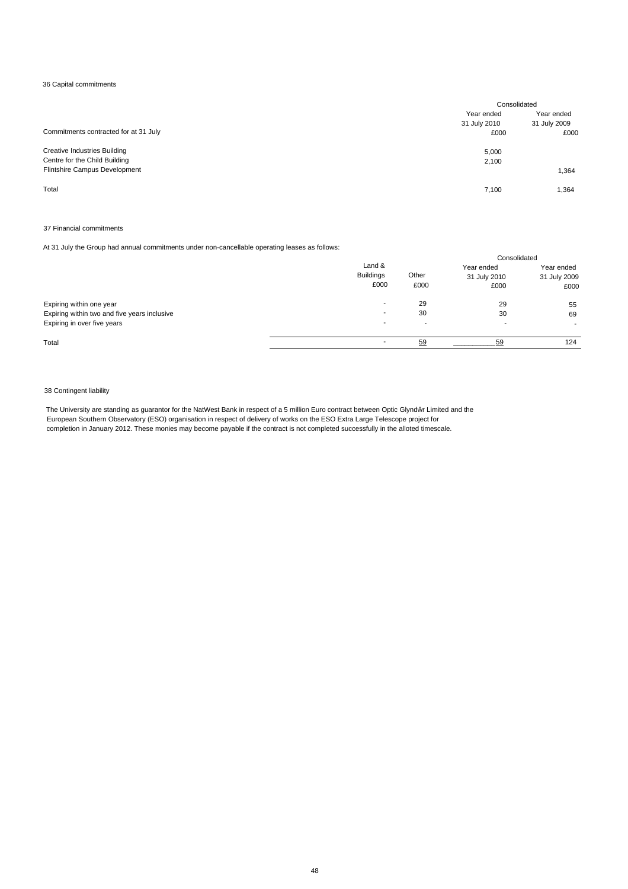### 36 Capital commitments

|                                       | Consolidated |              |
|---------------------------------------|--------------|--------------|
|                                       | Year ended   | Year ended   |
|                                       | 31 July 2010 | 31 July 2009 |
| Commitments contracted for at 31 July | £000         | £000         |
| <b>Creative Industries Building</b>   | 5,000        |              |
| Centre for the Child Building         | 2,100        |              |
| Flintshire Campus Development         |              | 1,364        |
| Total                                 | 7.100        | 1,364        |

#### 37 Financial commitments

At 31 July the Group had annual commitments under non-cancellable operating leases as follows:

|                                              |                                    |               | Consolidated                       |                                    |
|----------------------------------------------|------------------------------------|---------------|------------------------------------|------------------------------------|
|                                              | Land &<br><b>Buildings</b><br>£000 | Other<br>£000 | Year ended<br>31 July 2010<br>£000 | Year ended<br>31 July 2009<br>£000 |
| Expiring within one year                     | $\overline{\phantom{a}}$           | 29            | 29                                 | 55                                 |
| Expiring within two and five years inclusive | $\overline{\phantom{a}}$           | 30            | 30                                 | 69                                 |
| Expiring in over five years                  | $\overline{\phantom{a}}$           | -             |                                    |                                    |
| Total                                        | $\overline{\phantom{a}}$           | 59            | 59                                 | 124                                |

#### 38 Contingent liability

The University are standing as guarantor for the NatWest Bank in respect of a 5 million Euro contract between Optic Glynd  $\,$  r Limited and the European Southern Observatory (ESO) organisation in respect of delivery of works on the ESO Extra Large Telescope project for completion in January 2012. These monies may become payable if the contract is not completed successfully in the alloted timescale.